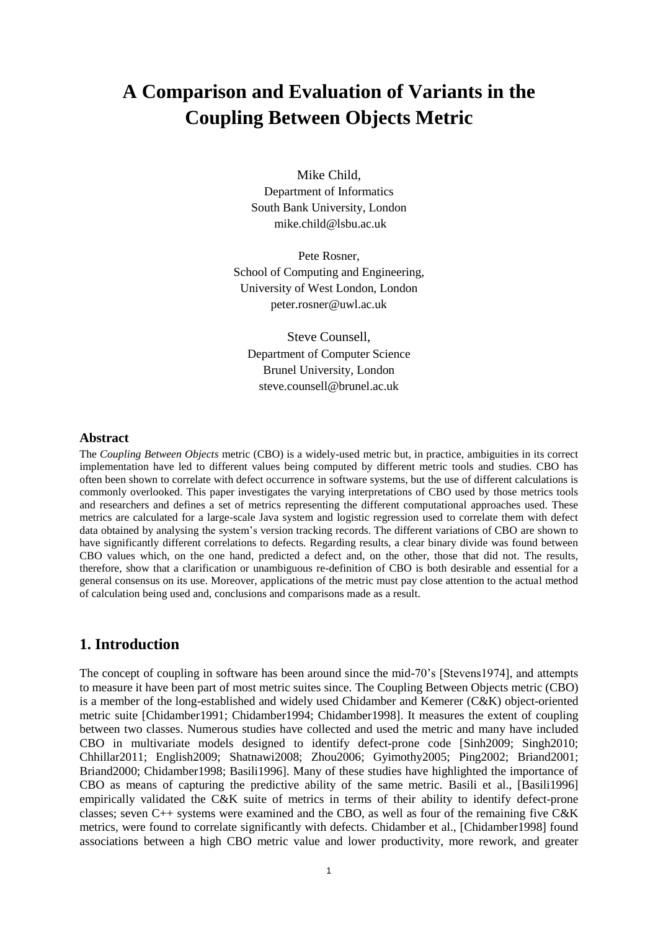# **A Comparison and Evaluation of Variants in the Coupling Between Objects Metric**

Mike Child, Department of Informatics South Bank University, London [mike.child@lsbu.ac.uk](mailto:mike.child@lsbu.ac.uk)

Pete Rosner, School of Computing and Engineering, University of West London, London peter.rosner@uwl.ac.uk

Steve Counsell, Department of Computer Science Brunel University, London steve.counsell@brunel.ac.uk

#### **Abstract**

The *Coupling Between Objects* metric (CBO) is a widely-used metric but, in practice, ambiguities in its correct implementation have led to different values being computed by different metric tools and studies. CBO has often been shown to correlate with defect occurrence in software systems, but the use of different calculations is commonly overlooked. This paper investigates the varying interpretations of CBO used by those metrics tools and researchers and defines a set of metrics representing the different computational approaches used. These metrics are calculated for a large-scale Java system and logistic regression used to correlate them with defect data obtained by analysing the system's version tracking records. The different variations of CBO are shown to have significantly different correlations to defects. Regarding results, a clear binary divide was found between CBO values which, on the one hand, predicted a defect and, on the other, those that did not. The results, therefore, show that a clarification or unambiguous re-definition of CBO is both desirable and essential for a general consensus on its use. Moreover, applications of the metric must pay close attention to the actual method of calculation being used and, conclusions and comparisons made as a result.

#### **1. Introduction**

The concept of coupling in software has been around since the mid-70's [Stevens1974], and attempts to measure it have been part of most metric suites since. The Coupling Between Objects metric (CBO) is a member of the long-established and widely used Chidamber and Kemerer (C&K) object-oriented metric suite [Chidamber1991; Chidamber1994; Chidamber1998]. It measures the extent of coupling between two classes. Numerous studies have collected and used the metric and many have included CBO in multivariate models designed to identify defect-prone code [Sinh2009; Singh2010; Chhillar2011; English2009; Shatnawi2008; Zhou2006; Gyimothy2005; Ping2002; Briand2001; Briand2000; Chidamber1998; Basili1996]. Many of these studies have highlighted the importance of CBO as means of capturing the predictive ability of the same metric. Basili et al., [Basili1996] empirically validated the C&K suite of metrics in terms of their ability to identify defect-prone classes; seven C++ systems were examined and the CBO, as well as four of the remaining five C&K metrics, were found to correlate significantly with defects. Chidamber et al., [Chidamber1998] found associations between a high CBO metric value and lower productivity, more rework, and greater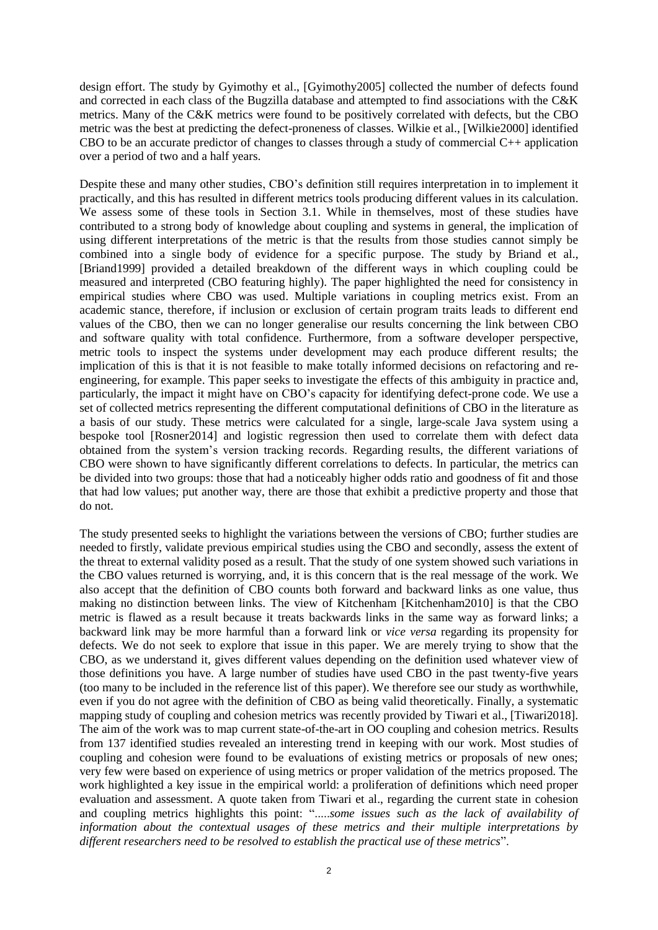design effort. The study by Gyimothy et al., [Gyimothy2005] collected the number of defects found and corrected in each class of the Bugzilla database and attempted to find associations with the C&K metrics. Many of the C&K metrics were found to be positively correlated with defects, but the CBO metric was the best at predicting the defect-proneness of classes. Wilkie et al., [Wilkie2000] identified CBO to be an accurate predictor of changes to classes through a study of commercial  $C_{++}$  application over a period of two and a half years.

Despite these and many other studies, CBO's definition still requires interpretation in to implement it practically, and this has resulted in different metrics tools producing different values in its calculation. We assess some of these tools in Section 3.1. While in themselves, most of these studies have contributed to a strong body of knowledge about coupling and systems in general, the implication of using different interpretations of the metric is that the results from those studies cannot simply be combined into a single body of evidence for a specific purpose. The study by Briand et al., [Briand1999] provided a detailed breakdown of the different ways in which coupling could be measured and interpreted (CBO featuring highly). The paper highlighted the need for consistency in empirical studies where CBO was used. Multiple variations in coupling metrics exist. From an academic stance, therefore, if inclusion or exclusion of certain program traits leads to different end values of the CBO, then we can no longer generalise our results concerning the link between CBO and software quality with total confidence. Furthermore, from a software developer perspective, metric tools to inspect the systems under development may each produce different results; the implication of this is that it is not feasible to make totally informed decisions on refactoring and reengineering, for example. This paper seeks to investigate the effects of this ambiguity in practice and, particularly, the impact it might have on CBO's capacity for identifying defect-prone code. We use a set of collected metrics representing the different computational definitions of CBO in the literature as a basis of our study. These metrics were calculated for a single, large-scale Java system using a bespoke tool [Rosner2014] and logistic regression then used to correlate them with defect data obtained from the system's version tracking records. Regarding results, the different variations of CBO were shown to have significantly different correlations to defects. In particular, the metrics can be divided into two groups: those that had a noticeably higher odds ratio and goodness of fit and those that had low values; put another way, there are those that exhibit a predictive property and those that do not.

The study presented seeks to highlight the variations between the versions of CBO; further studies are needed to firstly, validate previous empirical studies using the CBO and secondly, assess the extent of the threat to external validity posed as a result. That the study of one system showed such variations in the CBO values returned is worrying, and, it is this concern that is the real message of the work. We also accept that the definition of CBO counts both forward and backward links as one value, thus making no distinction between links. The view of Kitchenham [Kitchenham2010] is that the CBO metric is flawed as a result because it treats backwards links in the same way as forward links; a backward link may be more harmful than a forward link or *vice versa* regarding its propensity for defects. We do not seek to explore that issue in this paper. We are merely trying to show that the CBO, as we understand it, gives different values depending on the definition used whatever view of those definitions you have. A large number of studies have used CBO in the past twenty-five years (too many to be included in the reference list of this paper). We therefore see our study as worthwhile, even if you do not agree with the definition of CBO as being valid theoretically. Finally, a systematic mapping study of coupling and cohesion metrics was recently provided by Tiwari et al., [Tiwari2018]. The aim of the work was to map current state-of-the-art in OO coupling and cohesion metrics. Results from 137 identified studies revealed an interesting trend in keeping with our work. Most studies of coupling and cohesion were found to be evaluations of existing metrics or proposals of new ones; very few were based on experience of using metrics or proper validation of the metrics proposed. The work highlighted a key issue in the empirical world: a proliferation of definitions which need proper evaluation and assessment. A quote taken from Tiwari et al., regarding the current state in cohesion and coupling metrics highlights this point: ".....*some issues such as the lack of availability of information about the contextual usages of these metrics and their multiple interpretations by different researchers need to be resolved to establish the practical use of these metrics*".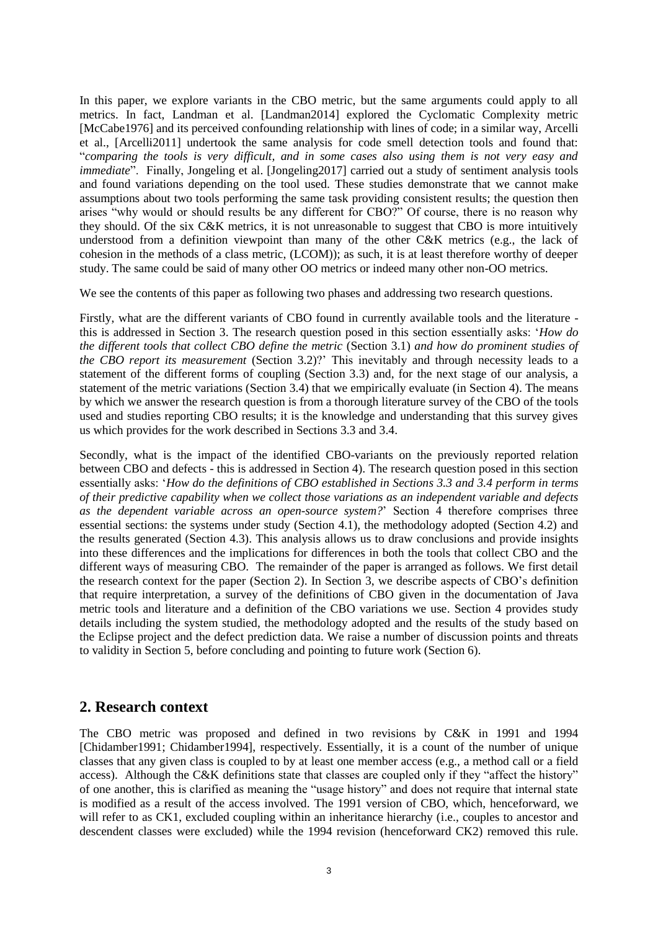In this paper, we explore variants in the CBO metric, but the same arguments could apply to all metrics. In fact, Landman et al. [Landman2014] explored the Cyclomatic Complexity metric [McCabe1976] and its perceived confounding relationship with lines of code; in a similar way, Arcelli et al., [Arcelli2011] undertook the same analysis for code smell detection tools and found that: "*comparing the tools is very difficult, and in some cases also using them is not very easy and immediate*". Finally, Jongeling et al. [Jongeling2017] carried out a study of sentiment analysis tools and found variations depending on the tool used. These studies demonstrate that we cannot make assumptions about two tools performing the same task providing consistent results; the question then arises "why would or should results be any different for CBO?" Of course, there is no reason why they should. Of the six C&K metrics, it is not unreasonable to suggest that CBO is more intuitively understood from a definition viewpoint than many of the other C&K metrics (e.g., the lack of cohesion in the methods of a class metric, (LCOM)); as such, it is at least therefore worthy of deeper study. The same could be said of many other OO metrics or indeed many other non-OO metrics.

We see the contents of this paper as following two phases and addressing two research questions.

Firstly, what are the different variants of CBO found in currently available tools and the literature this is addressed in Section 3. The research question posed in this section essentially asks: '*How do the different tools that collect CBO define the metric* (Section 3.1) *and how do prominent studies of the CBO report its measurement* (Section 3.2)?' This inevitably and through necessity leads to a statement of the different forms of coupling (Section 3.3) and, for the next stage of our analysis, a statement of the metric variations (Section 3.4) that we empirically evaluate (in Section 4). The means by which we answer the research question is from a thorough literature survey of the CBO of the tools used and studies reporting CBO results; it is the knowledge and understanding that this survey gives us which provides for the work described in Sections 3.3 and 3.4.

Secondly, what is the impact of the identified CBO-variants on the previously reported relation between CBO and defects - this is addressed in Section 4). The research question posed in this section essentially asks: '*How do the definitions of CBO established in Sections 3.3 and 3.4 perform in terms of their predictive capability when we collect those variations as an independent variable and defects as the dependent variable across an open-source system?*' Section 4 therefore comprises three essential sections: the systems under study (Section 4.1), the methodology adopted (Section 4.2) and the results generated (Section 4.3). This analysis allows us to draw conclusions and provide insights into these differences and the implications for differences in both the tools that collect CBO and the different ways of measuring CBO. The remainder of the paper is arranged as follows. We first detail the research context for the paper (Section 2). In Section 3, we describe aspects of CBO's definition that require interpretation, a survey of the definitions of CBO given in the documentation of Java metric tools and literature and a definition of the CBO variations we use. Section 4 provides study details including the system studied, the methodology adopted and the results of the study based on the Eclipse project and the defect prediction data. We raise a number of discussion points and threats to validity in Section 5, before concluding and pointing to future work (Section 6).

# **2. Research context**

The CBO metric was proposed and defined in two revisions by C&K in 1991 and 1994 [Chidamber1991; Chidamber1994], respectively. Essentially, it is a count of the number of unique classes that any given class is coupled to by at least one member access (e.g., a method call or a field access). Although the C&K definitions state that classes are coupled only if they "affect the history" of one another, this is clarified as meaning the "usage history" and does not require that internal state is modified as a result of the access involved. The 1991 version of CBO, which, henceforward, we will refer to as CK1, excluded coupling within an inheritance hierarchy (i.e., couples to ancestor and descendent classes were excluded) while the 1994 revision (henceforward CK2) removed this rule.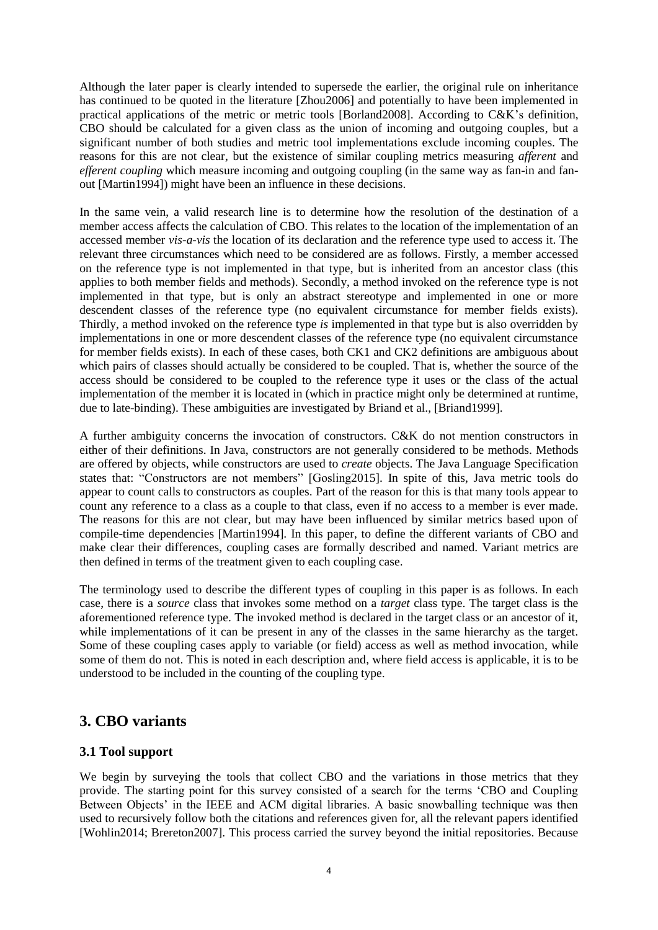Although the later paper is clearly intended to supersede the earlier, the original rule on inheritance has continued to be quoted in the literature [Zhou2006] and potentially to have been implemented in practical applications of the metric or metric tools [Borland2008]. According to C&K's definition, CBO should be calculated for a given class as the union of incoming and outgoing couples, but a significant number of both studies and metric tool implementations exclude incoming couples. The reasons for this are not clear, but the existence of similar coupling metrics measuring *afferent* and *efferent coupling* which measure incoming and outgoing coupling (in the same way as fan-in and fanout [Martin1994]) might have been an influence in these decisions.

In the same vein, a valid research line is to determine how the resolution of the destination of a member access affects the calculation of CBO. This relates to the location of the implementation of an accessed member *vis-a-vis* the location of its declaration and the reference type used to access it. The relevant three circumstances which need to be considered are as follows. Firstly, a member accessed on the reference type is not implemented in that type, but is inherited from an ancestor class (this applies to both member fields and methods). Secondly, a method invoked on the reference type is not implemented in that type, but is only an abstract stereotype and implemented in one or more descendent classes of the reference type (no equivalent circumstance for member fields exists). Thirdly, a method invoked on the reference type *is* implemented in that type but is also overridden by implementations in one or more descendent classes of the reference type (no equivalent circumstance for member fields exists). In each of these cases, both CK1 and CK2 definitions are ambiguous about which pairs of classes should actually be considered to be coupled. That is, whether the source of the access should be considered to be coupled to the reference type it uses or the class of the actual implementation of the member it is located in (which in practice might only be determined at runtime, due to late-binding). These ambiguities are investigated by Briand et al., [Briand1999].

A further ambiguity concerns the invocation of constructors. C&K do not mention constructors in either of their definitions. In Java, constructors are not generally considered to be methods. Methods are offered by objects, while constructors are used to *create* objects. The Java Language Specification states that: "Constructors are not members" [Gosling2015]. In spite of this, Java metric tools do appear to count calls to constructors as couples. Part of the reason for this is that many tools appear to count any reference to a class as a couple to that class, even if no access to a member is ever made. The reasons for this are not clear, but may have been influenced by similar metrics based upon of compile-time dependencies [Martin1994]. In this paper, to define the different variants of CBO and make clear their differences, coupling cases are formally described and named. Variant metrics are then defined in terms of the treatment given to each coupling case.

The terminology used to describe the different types of coupling in this paper is as follows. In each case, there is a *source* class that invokes some method on a *target* class type. The target class is the aforementioned reference type. The invoked method is declared in the target class or an ancestor of it, while implementations of it can be present in any of the classes in the same hierarchy as the target. Some of these coupling cases apply to variable (or field) access as well as method invocation, while some of them do not. This is noted in each description and, where field access is applicable, it is to be understood to be included in the counting of the coupling type.

# **3. CBO variants**

#### **3.1 Tool support**

We begin by surveying the tools that collect CBO and the variations in those metrics that they provide. The starting point for this survey consisted of a search for the terms 'CBO and Coupling Between Objects' in the IEEE and ACM digital libraries. A basic snowballing technique was then used to recursively follow both the citations and references given for, all the relevant papers identified [Wohlin2014; Brereton2007]. This process carried the survey beyond the initial repositories. Because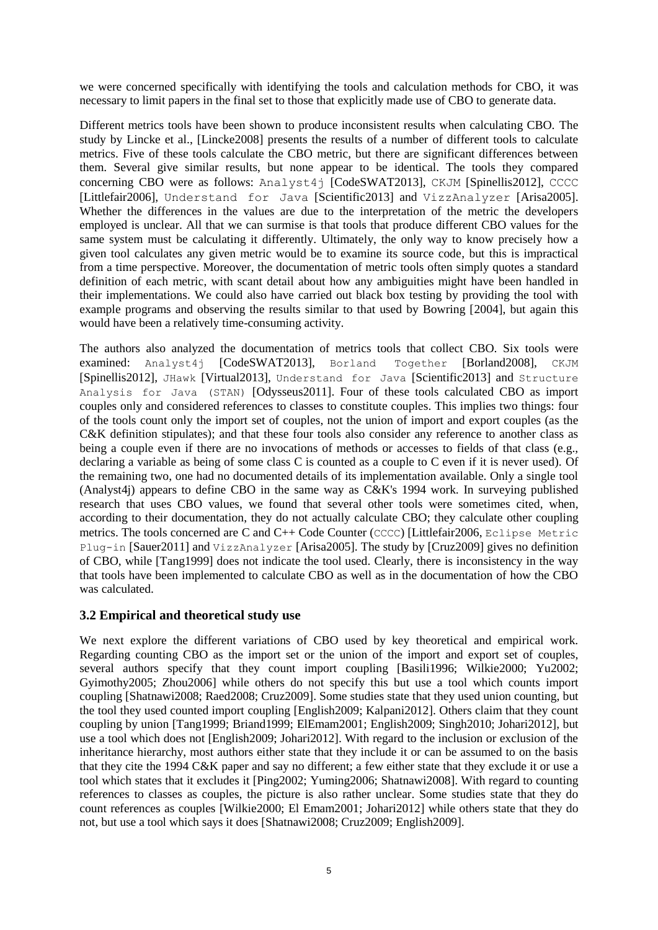we were concerned specifically with identifying the tools and calculation methods for CBO, it was necessary to limit papers in the final set to those that explicitly made use of CBO to generate data.

Different metrics tools have been shown to produce inconsistent results when calculating CBO. The study by Lincke et al., [Lincke2008] presents the results of a number of different tools to calculate metrics. Five of these tools calculate the CBO metric, but there are significant differences between them. Several give similar results, but none appear to be identical. The tools they compared concerning CBO were as follows: Analyst4j [CodeSWAT2013], CKJM [Spinellis2012], CCCC [Littlefair2006], Understand for Java [Scientific2013] and VizzAnalyzer [Arisa2005]. Whether the differences in the values are due to the interpretation of the metric the developers employed is unclear. All that we can surmise is that tools that produce different CBO values for the same system must be calculating it differently. Ultimately, the only way to know precisely how a given tool calculates any given metric would be to examine its source code, but this is impractical from a time perspective. Moreover, the documentation of metric tools often simply quotes a standard definition of each metric, with scant detail about how any ambiguities might have been handled in their implementations. We could also have carried out black box testing by providing the tool with example programs and observing the results similar to that used by Bowring [2004], but again this would have been a relatively time-consuming activity.

The authors also analyzed the documentation of metrics tools that collect CBO. Six tools were examined: Analyst4j [CodeSWAT2013], Borland Together [Borland2008], CKJM [Spinellis2012], JHawk [Virtual2013], Understand for Java [Scientific2013] and Structure Analysis for Java (STAN) [Odysseus2011]. Four of these tools calculated CBO as import couples only and considered references to classes to constitute couples. This implies two things: four of the tools count only the import set of couples, not the union of import and export couples (as the C&K definition stipulates); and that these four tools also consider any reference to another class as being a couple even if there are no invocations of methods or accesses to fields of that class (e.g., declaring a variable as being of some class C is counted as a couple to C even if it is never used). Of the remaining two, one had no documented details of its implementation available. Only a single tool (Analyst4j) appears to define CBO in the same way as C&K's 1994 work. In surveying published research that uses CBO values, we found that several other tools were sometimes cited, when, according to their documentation, they do not actually calculate CBO; they calculate other coupling metrics. The tools concerned are C and C++ Code Counter (CCCC) [Littlefair2006, Eclipse Metric Plug-in [Sauer2011] and VizzAnalyzer [Arisa2005]. The study by [Cruz2009] gives no definition of CBO, while [Tang1999] does not indicate the tool used. Clearly, there is inconsistency in the way that tools have been implemented to calculate CBO as well as in the documentation of how the CBO was calculated.

#### **3.2 Empirical and theoretical study use**

We next explore the different variations of CBO used by key theoretical and empirical work. Regarding counting CBO as the import set or the union of the import and export set of couples, several authors specify that they count import coupling [Basili1996; Wilkie2000; Yu2002; Gyimothy2005; Zhou2006] while others do not specify this but use a tool which counts import coupling [Shatnawi2008; Raed2008; Cruz2009]. Some studies state that they used union counting, but the tool they used counted import coupling [English2009; Kalpani2012]. Others claim that they count coupling by union [Tang1999; Briand1999; ElEmam2001; English2009; Singh2010; Johari2012], but use a tool which does not [English2009; Johari2012]. With regard to the inclusion or exclusion of the inheritance hierarchy, most authors either state that they include it or can be assumed to on the basis that they cite the 1994 C&K paper and say no different; a few either state that they exclude it or use a tool which states that it excludes it [Ping2002; Yuming2006; Shatnawi2008]. With regard to counting references to classes as couples, the picture is also rather unclear. Some studies state that they do count references as couples [Wilkie2000; El Emam2001; Johari2012] while others state that they do not, but use a tool which says it does [Shatnawi2008; Cruz2009; English2009].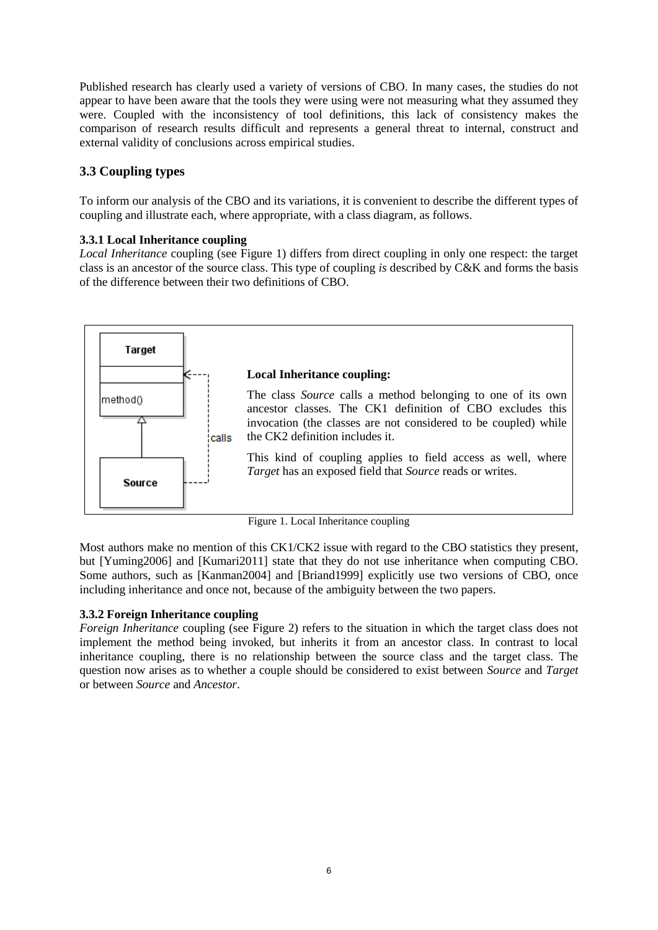Published research has clearly used a variety of versions of CBO. In many cases, the studies do not appear to have been aware that the tools they were using were not measuring what they assumed they were. Coupled with the inconsistency of tool definitions, this lack of consistency makes the comparison of research results difficult and represents a general threat to internal, construct and external validity of conclusions across empirical studies.

# **3.3 Coupling types**

To inform our analysis of the CBO and its variations, it is convenient to describe the different types of coupling and illustrate each, where appropriate, with a class diagram, as follows.

#### **3.3.1 Local Inheritance coupling**

*Local Inheritance* coupling (see Figure 1) differs from direct coupling in only one respect: the target class is an ancestor of the source class. This type of coupling *is* described by C&K and forms the basis of the difference between their two definitions of CBO.



Figure 1. Local Inheritance coupling

Most authors make no mention of this CK1/CK2 issue with regard to the CBO statistics they present, but [Yuming2006] and [Kumari2011] state that they do not use inheritance when computing CBO. Some authors, such as [Kanman2004] and [Briand1999] explicitly use two versions of CBO, once including inheritance and once not, because of the ambiguity between the two papers.

#### **3.3.2 Foreign Inheritance coupling**

*Foreign Inheritance* coupling (see Figure 2) refers to the situation in which the target class does not implement the method being invoked, but inherits it from an ancestor class. In contrast to local inheritance coupling, there is no relationship between the source class and the target class. The question now arises as to whether a couple should be considered to exist between *Source* and *Target* or between *Source* and *Ancestor*.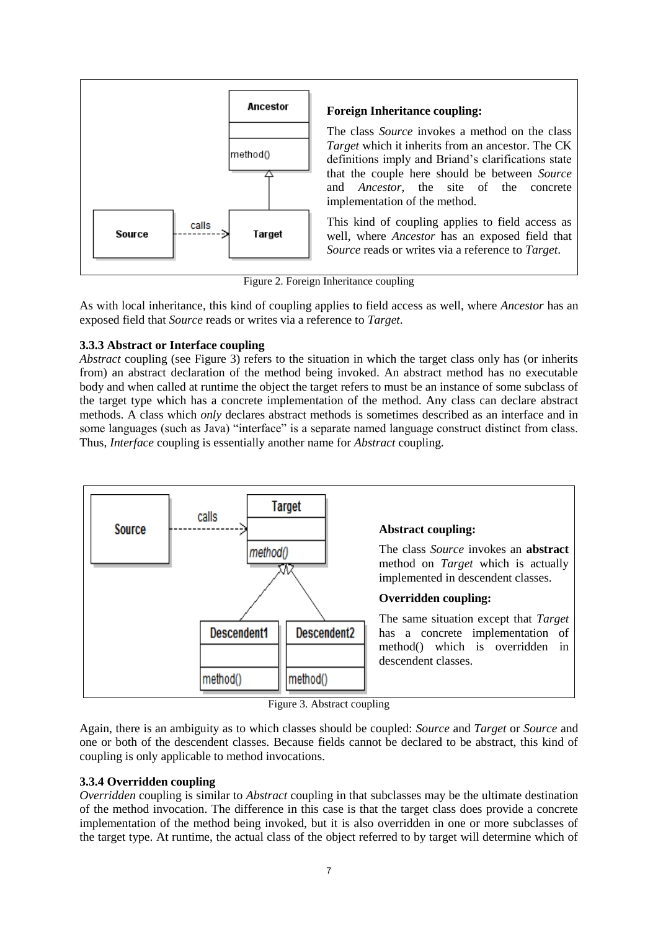

Figure 2. Foreign Inheritance coupling

As with local inheritance, this kind of coupling applies to field access as well, where *Ancestor* has an exposed field that *Source* reads or writes via a reference to *Target*.

#### **3.3.3 Abstract or Interface coupling**

*Abstract* coupling (see Figure 3) refers to the situation in which the target class only has (or inherits from) an abstract declaration of the method being invoked. An abstract method has no executable body and when called at runtime the object the target refers to must be an instance of some subclass of the target type which has a concrete implementation of the method. Any class can declare abstract methods. A class which *only* declares abstract methods is sometimes described as an interface and in some languages (such as Java) "interface" is a separate named language construct distinct from class. Thus, *Interface* coupling is essentially another name for *Abstract* coupling.



Figure 3. Abstract coupling

Again, there is an ambiguity as to which classes should be coupled: *Source* and *Target* or *Source* and one or both of the descendent classes. Because fields cannot be declared to be abstract, this kind of coupling is only applicable to method invocations.

#### **3.3.4 Overridden coupling**

*Overridden* coupling is similar to *Abstract* coupling in that subclasses may be the ultimate destination of the method invocation. The difference in this case is that the target class does provide a concrete implementation of the method being invoked, but it is also overridden in one or more subclasses of the target type. At runtime, the actual class of the object referred to by target will determine which of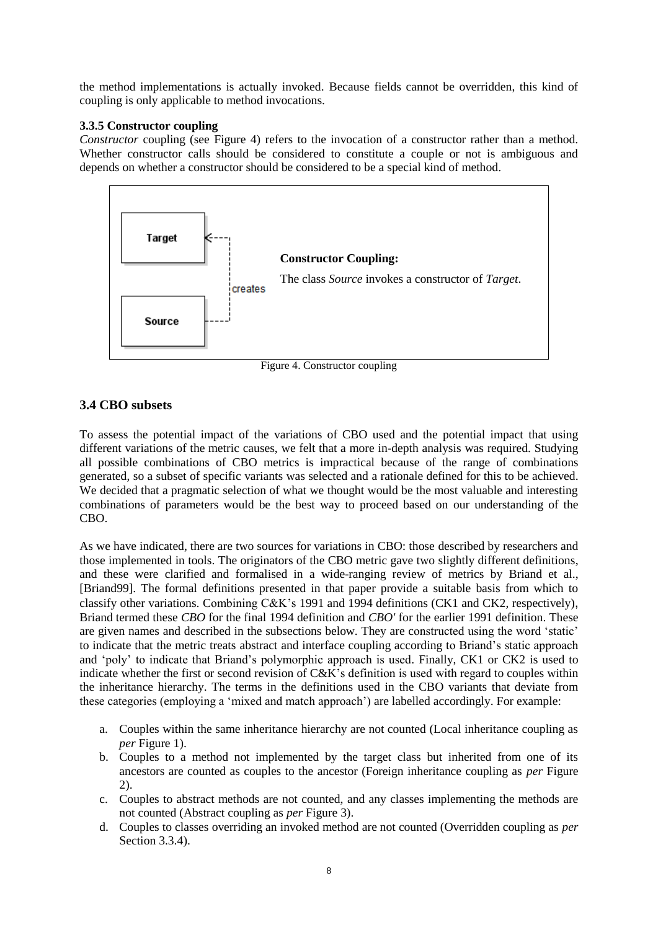the method implementations is actually invoked. Because fields cannot be overridden, this kind of coupling is only applicable to method invocations.

#### **3.3.5 Constructor coupling**

*Constructor* coupling (see Figure 4) refers to the invocation of a constructor rather than a method. Whether constructor calls should be considered to constitute a couple or not is ambiguous and depends on whether a constructor should be considered to be a special kind of method.



Figure 4. Constructor coupling

# **3.4 CBO subsets**

To assess the potential impact of the variations of CBO used and the potential impact that using different variations of the metric causes, we felt that a more in-depth analysis was required. Studying all possible combinations of CBO metrics is impractical because of the range of combinations generated, so a subset of specific variants was selected and a rationale defined for this to be achieved. We decided that a pragmatic selection of what we thought would be the most valuable and interesting combinations of parameters would be the best way to proceed based on our understanding of the CBO.

As we have indicated, there are two sources for variations in CBO: those described by researchers and those implemented in tools. The originators of the CBO metric gave two slightly different definitions, and these were clarified and formalised in a wide-ranging review of metrics by Briand et al., [Briand99]. The formal definitions presented in that paper provide a suitable basis from which to classify other variations. Combining C&K's 1991 and 1994 definitions (CK1 and CK2, respectively), Briand termed these *CBO* for the final 1994 definition and *CBO'* for the earlier 1991 definition. These are given names and described in the subsections below. They are constructed using the word 'static' to indicate that the metric treats abstract and interface coupling according to Briand's static approach and 'poly' to indicate that Briand's polymorphic approach is used. Finally, CK1 or CK2 is used to indicate whether the first or second revision of C&K's definition is used with regard to couples within the inheritance hierarchy. The terms in the definitions used in the CBO variants that deviate from these categories (employing a 'mixed and match approach') are labelled accordingly. For example:

- a. Couples within the same inheritance hierarchy are not counted (Local inheritance coupling as *per* Figure 1).
- b. Couples to a method not implemented by the target class but inherited from one of its ancestors are counted as couples to the ancestor (Foreign inheritance coupling as *per* Figure 2).
- c. Couples to abstract methods are not counted, and any classes implementing the methods are not counted (Abstract coupling as *per* Figure 3).
- d. Couples to classes overriding an invoked method are not counted (Overridden coupling as *per* Section 3.3.4).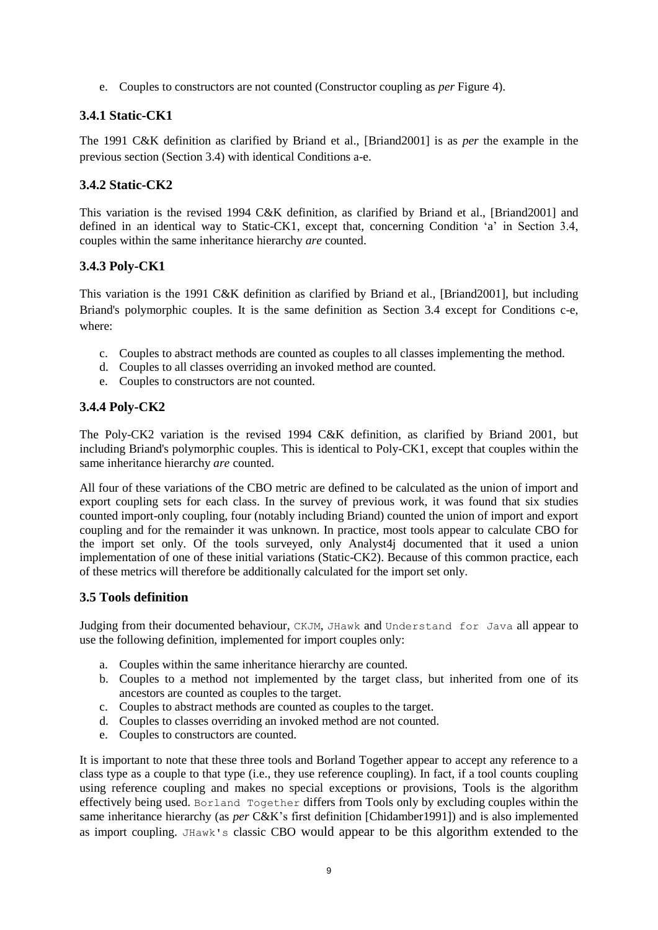e. Couples to constructors are not counted (Constructor coupling as *per* Figure 4).

## **3.4.1 Static-CK1**

The 1991 C&K definition as clarified by Briand et al., [Briand2001] is as *per* the example in the previous section (Section 3.4) with identical Conditions a-e.

## **3.4.2 Static-CK2**

This variation is the revised 1994 C&K definition, as clarified by Briand et al., [Briand2001] and defined in an identical way to Static-CK1, except that, concerning Condition 'a' in Section 3.4, couples within the same inheritance hierarchy *are* counted.

#### **3.4.3 Poly-CK1**

This variation is the 1991 C&K definition as clarified by Briand et al., [Briand2001], but including Briand's polymorphic couples. It is the same definition as Section 3.4 except for Conditions c-e, where:

- c. Couples to abstract methods are counted as couples to all classes implementing the method.
- d. Couples to all classes overriding an invoked method are counted.
- e. Couples to constructors are not counted.

#### **3.4.4 Poly-CK2**

The Poly-CK2 variation is the revised 1994 C&K definition, as clarified by Briand 2001, but including Briand's polymorphic couples. This is identical to Poly-CK1, except that couples within the same inheritance hierarchy *are* counted.

All four of these variations of the CBO metric are defined to be calculated as the union of import and export coupling sets for each class. In the survey of previous work, it was found that six studies counted import-only coupling, four (notably including Briand) counted the union of import and export coupling and for the remainder it was unknown. In practice, most tools appear to calculate CBO for the import set only. Of the tools surveyed, only Analyst4j documented that it used a union implementation of one of these initial variations (Static-CK2). Because of this common practice, each of these metrics will therefore be additionally calculated for the import set only.

#### **3.5 Tools definition**

Judging from their documented behaviour, CKJM, JHawk and Understand for Java all appear to use the following definition, implemented for import couples only:

- a. Couples within the same inheritance hierarchy are counted.
- b. Couples to a method not implemented by the target class, but inherited from one of its ancestors are counted as couples to the target.
- c. Couples to abstract methods are counted as couples to the target.
- d. Couples to classes overriding an invoked method are not counted.
- e. Couples to constructors are counted.

It is important to note that these three tools and Borland Together appear to accept any reference to a class type as a couple to that type (i.e., they use reference coupling). In fact, if a tool counts coupling using reference coupling and makes no special exceptions or provisions, Tools is the algorithm effectively being used. Borland Together differs from Tools only by excluding couples within the same inheritance hierarchy (as *per* C&K's first definition [Chidamber1991]) and is also implemented as import coupling. JHawk's classic CBO would appear to be this algorithm extended to the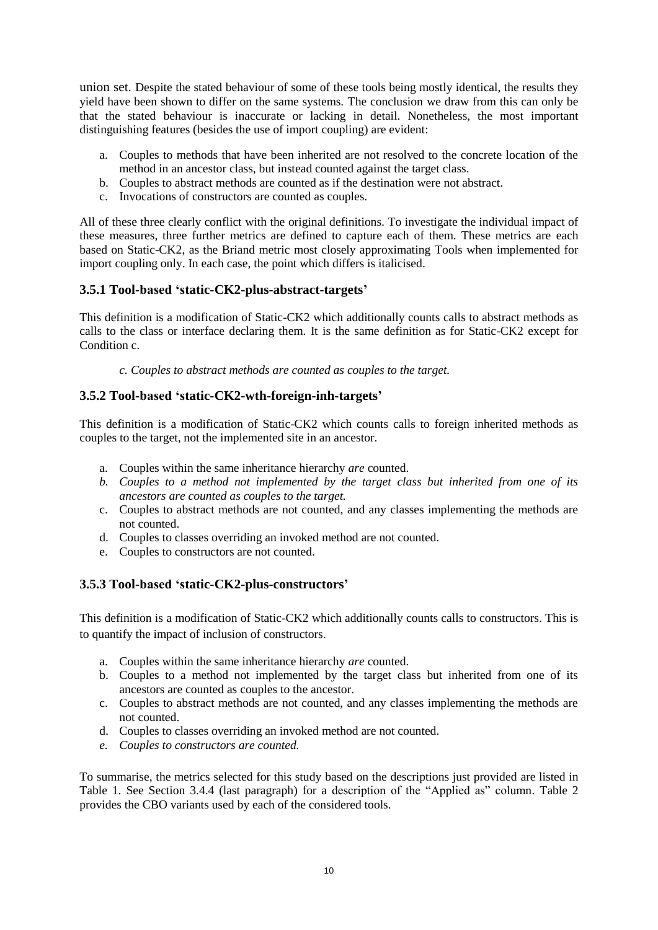union set. Despite the stated behaviour of some of these tools being mostly identical, the results they yield have been shown to differ on the same systems. The conclusion we draw from this can only be that the stated behaviour is inaccurate or lacking in detail. Nonetheless, the most important distinguishing features (besides the use of import coupling) are evident:

- a. Couples to methods that have been inherited are not resolved to the concrete location of the method in an ancestor class, but instead counted against the target class.
- b. Couples to abstract methods are counted as if the destination were not abstract.
- c. Invocations of constructors are counted as couples.

All of these three clearly conflict with the original definitions. To investigate the individual impact of these measures, three further metrics are defined to capture each of them. These metrics are each based on Static-CK2, as the Briand metric most closely approximating Tools when implemented for import coupling only. In each case, the point which differs is italicised.

#### **3.5.1 Tool-based 'static-CK2-plus-abstract-targets'**

This definition is a modification of Static-CK2 which additionally counts calls to abstract methods as calls to the class or interface declaring them. It is the same definition as for Static-CK2 except for Condition c.

*c. Couples to abstract methods are counted as couples to the target.* 

#### **3.5.2 Tool-based 'static-CK2-wth-foreign-inh-targets'**

This definition is a modification of Static-CK2 which counts calls to foreign inherited methods as couples to the target, not the implemented site in an ancestor.

- a. Couples within the same inheritance hierarchy *are* counted.
- *b. Couples to a method not implemented by the target class but inherited from one of its ancestors are counted as couples to the target.*
- c. Couples to abstract methods are not counted, and any classes implementing the methods are not counted.
- d. Couples to classes overriding an invoked method are not counted.
- e. Couples to constructors are not counted.

#### **3.5.3 Tool-based 'static-CK2-plus-constructors'**

This definition is a modification of Static-CK2 which additionally counts calls to constructors. This is to quantify the impact of inclusion of constructors.

- a. Couples within the same inheritance hierarchy *are* counted.
- b. Couples to a method not implemented by the target class but inherited from one of its ancestors are counted as couples to the ancestor.
- c. Couples to abstract methods are not counted, and any classes implementing the methods are not counted.
- d. Couples to classes overriding an invoked method are not counted.
- *e. Couples to constructors are counted.*

To summarise, the metrics selected for this study based on the descriptions just provided are listed in Table 1. See Section 3.4.4 (last paragraph) for a description of the "Applied as" column. Table 2 provides the CBO variants used by each of the considered tools.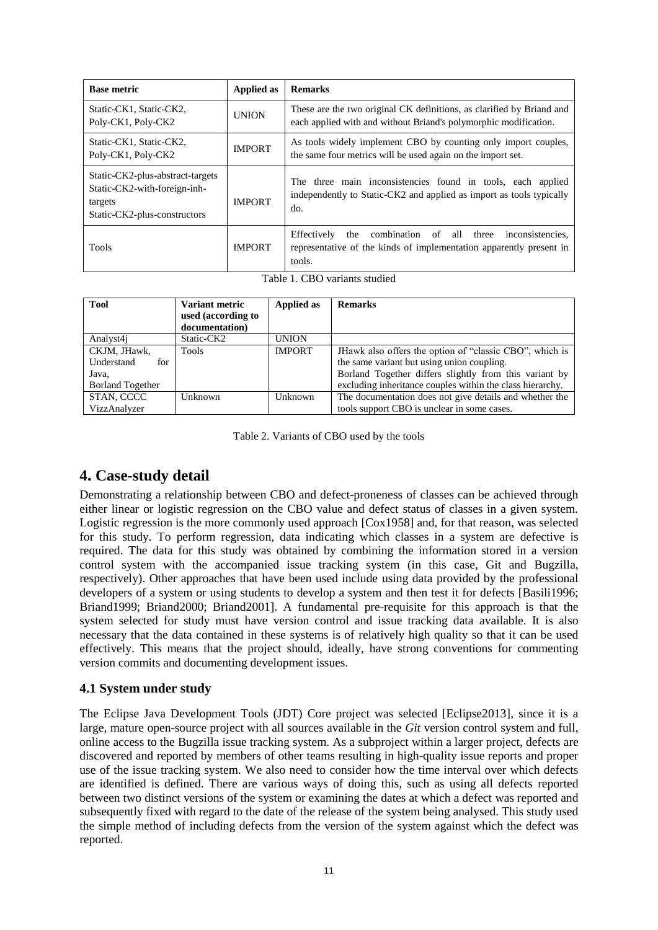| <b>Base metric</b>                                                                                          | Applied as    | <b>Remarks</b>                                                                                                                                         |
|-------------------------------------------------------------------------------------------------------------|---------------|--------------------------------------------------------------------------------------------------------------------------------------------------------|
| Static-CK1, Static-CK2,<br>Poly-CK1, Poly-CK2                                                               | <b>UNION</b>  | These are the two original CK definitions, as clarified by Briand and<br>each applied with and without Briand's polymorphic modification.              |
| Static-CK1, Static-CK2,<br>Poly-CK1, Poly-CK2                                                               | <b>IMPORT</b> | As tools widely implement CBO by counting only import couples,<br>the same four metrics will be used again on the import set.                          |
| Static-CK2-plus-abstract-targets<br>Static-CK2-with-foreign-inh-<br>targets<br>Static-CK2-plus-constructors | <b>IMPORT</b> | The three main inconsistencies found in tools, each applied<br>independently to Static-CK2 and applied as import as tools typically<br>do.             |
| <b>Tools</b>                                                                                                | <b>IMPORT</b> | combination of all<br>Effectively<br>the<br>three<br>inconsistencies.<br>representative of the kinds of implementation apparently present in<br>tools. |

| Table 1. CBO variants studied |  |  |
|-------------------------------|--|--|
|-------------------------------|--|--|

| <b>Tool</b>             | Variant metric     | Applied as    | <b>Remarks</b>                                            |
|-------------------------|--------------------|---------------|-----------------------------------------------------------|
|                         | used (according to |               |                                                           |
|                         | documentation)     |               |                                                           |
| Analyst4j               | Static-CK2         | <b>UNION</b>  |                                                           |
| CKJM, JHawk,            | Tools              | <b>IMPORT</b> | JHawk also offers the option of "classic CBO", which is   |
| Understand<br>for       |                    |               | the same variant but using union coupling.                |
| Java,                   |                    |               | Borland Together differs slightly from this variant by    |
| <b>Borland Together</b> |                    |               | excluding inheritance couples within the class hierarchy. |
| STAN, CCCC              | Unknown            | Unknown       | The documentation does not give details and whether the   |
| VizzAnalyzer            |                    |               | tools support CBO is unclear in some cases.               |

Table 2. Variants of CBO used by the tools

# **4. Case-study detail**

Demonstrating a relationship between CBO and defect-proneness of classes can be achieved through either linear or logistic regression on the CBO value and defect status of classes in a given system. Logistic regression is the more commonly used approach [Cox1958] and, for that reason, was selected for this study. To perform regression, data indicating which classes in a system are defective is required. The data for this study was obtained by combining the information stored in a version control system with the accompanied issue tracking system (in this case, Git and Bugzilla, respectively). Other approaches that have been used include using data provided by the professional developers of a system or using students to develop a system and then test it for defects [Basili1996; Briand1999; Briand2000; Briand2001]. A fundamental pre-requisite for this approach is that the system selected for study must have version control and issue tracking data available. It is also necessary that the data contained in these systems is of relatively high quality so that it can be used effectively. This means that the project should, ideally, have strong conventions for commenting version commits and documenting development issues.

#### **4.1 System under study**

The Eclipse Java Development Tools (JDT) Core project was selected [Eclipse2013], since it is a large, mature open-source project with all sources available in the *Git* version control system and full, online access to the Bugzilla issue tracking system. As a subproject within a larger project, defects are discovered and reported by members of other teams resulting in high-quality issue reports and proper use of the issue tracking system. We also need to consider how the time interval over which defects are identified is defined. There are various ways of doing this, such as using all defects reported between two distinct versions of the system or examining the dates at which a defect was reported and subsequently fixed with regard to the date of the release of the system being analysed. This study used the simple method of including defects from the version of the system against which the defect was reported.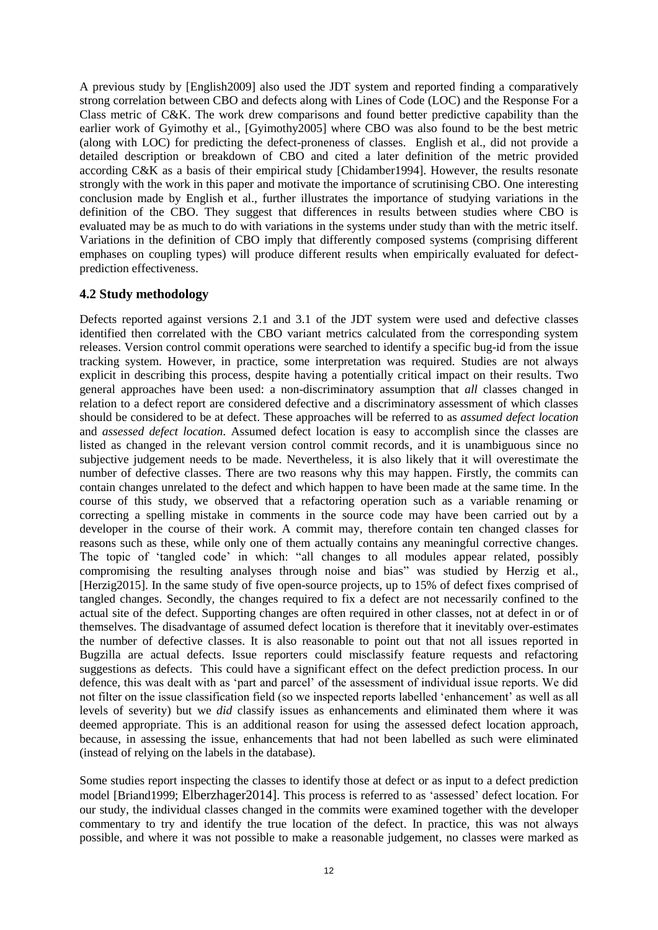A previous study by [English2009] also used the JDT system and reported finding a comparatively strong correlation between CBO and defects along with Lines of Code (LOC) and the Response For a Class metric of C&K. The work drew comparisons and found better predictive capability than the earlier work of Gyimothy et al., [Gyimothy2005] where CBO was also found to be the best metric (along with LOC) for predicting the defect-proneness of classes. English et al., did not provide a detailed description or breakdown of CBO and cited a later definition of the metric provided according C&K as a basis of their empirical study [Chidamber1994]. However, the results resonate strongly with the work in this paper and motivate the importance of scrutinising CBO. One interesting conclusion made by English et al., further illustrates the importance of studying variations in the definition of the CBO. They suggest that differences in results between studies where CBO is evaluated may be as much to do with variations in the systems under study than with the metric itself. Variations in the definition of CBO imply that differently composed systems (comprising different emphases on coupling types) will produce different results when empirically evaluated for defectprediction effectiveness.

#### **4.2 Study methodology**

Defects reported against versions 2.1 and 3.1 of the JDT system were used and defective classes identified then correlated with the CBO variant metrics calculated from the corresponding system releases. Version control commit operations were searched to identify a specific bug-id from the issue tracking system. However, in practice, some interpretation was required. Studies are not always explicit in describing this process, despite having a potentially critical impact on their results. Two general approaches have been used: a non-discriminatory assumption that *all* classes changed in relation to a defect report are considered defective and a discriminatory assessment of which classes should be considered to be at defect. These approaches will be referred to as *assumed defect location* and *assessed defect location*. Assumed defect location is easy to accomplish since the classes are listed as changed in the relevant version control commit records, and it is unambiguous since no subjective judgement needs to be made. Nevertheless, it is also likely that it will overestimate the number of defective classes. There are two reasons why this may happen. Firstly, the commits can contain changes unrelated to the defect and which happen to have been made at the same time. In the course of this study, we observed that a refactoring operation such as a variable renaming or correcting a spelling mistake in comments in the source code may have been carried out by a developer in the course of their work. A commit may, therefore contain ten changed classes for reasons such as these, while only one of them actually contains any meaningful corrective changes. The topic of 'tangled code' in which: "all changes to all modules appear related, possibly compromising the resulting analyses through noise and bias" was studied by Herzig et al., [Herzig2015]. In the same study of five open-source projects, up to 15% of defect fixes comprised of tangled changes. Secondly, the changes required to fix a defect are not necessarily confined to the actual site of the defect. Supporting changes are often required in other classes, not at defect in or of themselves. The disadvantage of assumed defect location is therefore that it inevitably over-estimates the number of defective classes. It is also reasonable to point out that not all issues reported in Bugzilla are actual defects. Issue reporters could misclassify feature requests and refactoring suggestions as defects. This could have a significant effect on the defect prediction process. In our defence, this was dealt with as 'part and parcel' of the assessment of individual issue reports. We did not filter on the issue classification field (so we inspected reports labelled 'enhancement' as well as all levels of severity) but we *did* classify issues as enhancements and eliminated them where it was deemed appropriate. This is an additional reason for using the assessed defect location approach, because, in assessing the issue, enhancements that had not been labelled as such were eliminated (instead of relying on the labels in the database).

Some studies report inspecting the classes to identify those at defect or as input to a defect prediction model [Briand1999; Elberzhager2014]. This process is referred to as 'assessed' defect location. For our study, the individual classes changed in the commits were examined together with the developer commentary to try and identify the true location of the defect. In practice, this was not always possible, and where it was not possible to make a reasonable judgement, no classes were marked as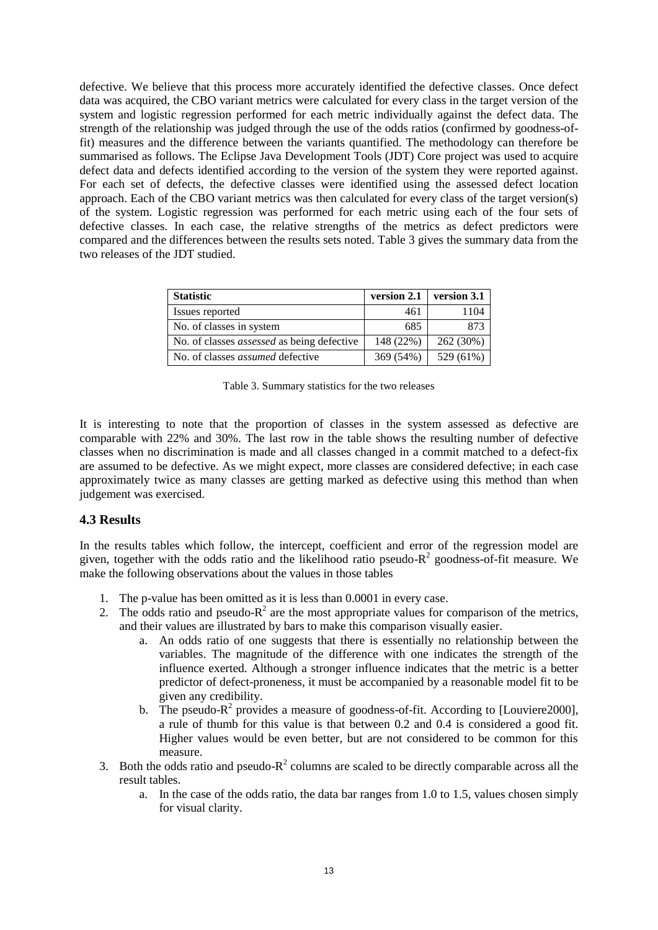defective. We believe that this process more accurately identified the defective classes. Once defect data was acquired, the CBO variant metrics were calculated for every class in the target version of the system and logistic regression performed for each metric individually against the defect data. The strength of the relationship was judged through the use of the odds ratios (confirmed by goodness-offit) measures and the difference between the variants quantified. The methodology can therefore be summarised as follows. The Eclipse Java Development Tools (JDT) Core project was used to acquire defect data and defects identified according to the version of the system they were reported against. For each set of defects, the defective classes were identified using the assessed defect location approach. Each of the CBO variant metrics was then calculated for every class of the target version(s) of the system. Logistic regression was performed for each metric using each of the four sets of defective classes. In each case, the relative strengths of the metrics as defect predictors were compared and the differences between the results sets noted. Table 3 gives the summary data from the two releases of the JDT studied.

| <b>Statistic</b>                                  |           | version $2.1 \pm \text{version } 3.1$ |
|---------------------------------------------------|-----------|---------------------------------------|
| Issues reported                                   | 461       | 1104                                  |
| No. of classes in system                          | 685       | 873                                   |
| No. of classes <i>assessed</i> as being defective | 148 (22%) | 262 (30%)                             |
| No. of classes <i>assumed</i> defective           | 369 (54%) | 529 (61%)                             |

Table 3. Summary statistics for the two releases

It is interesting to note that the proportion of classes in the system assessed as defective are comparable with 22% and 30%. The last row in the table shows the resulting number of defective classes when no discrimination is made and all classes changed in a commit matched to a defect-fix are assumed to be defective. As we might expect, more classes are considered defective; in each case approximately twice as many classes are getting marked as defective using this method than when judgement was exercised.

#### **4.3 Results**

In the results tables which follow, the intercept, coefficient and error of the regression model are given, together with the odds ratio and the likelihood ratio pseudo- $R^2$  goodness-of-fit measure. We make the following observations about the values in those tables

- 1. The p-value has been omitted as it is less than 0.0001 in every case.
- 2. The odds ratio and pseudo- $R^2$  are the most appropriate values for comparison of the metrics, and their values are illustrated by bars to make this comparison visually easier.
	- a. An odds ratio of one suggests that there is essentially no relationship between the variables. The magnitude of the difference with one indicates the strength of the influence exerted. Although a stronger influence indicates that the metric is a better predictor of defect-proneness, it must be accompanied by a reasonable model fit to be given any credibility.
	- b. The pseudo- $R^2$  provides a measure of goodness-of-fit. According to [Louviere2000], a rule of thumb for this value is that between 0.2 and 0.4 is considered a good fit. Higher values would be even better, but are not considered to be common for this measure.
- 3. Both the odds ratio and pseudo- $R^2$  columns are scaled to be directly comparable across all the result tables.
	- a. In the case of the odds ratio, the data bar ranges from 1.0 to 1.5, values chosen simply for visual clarity.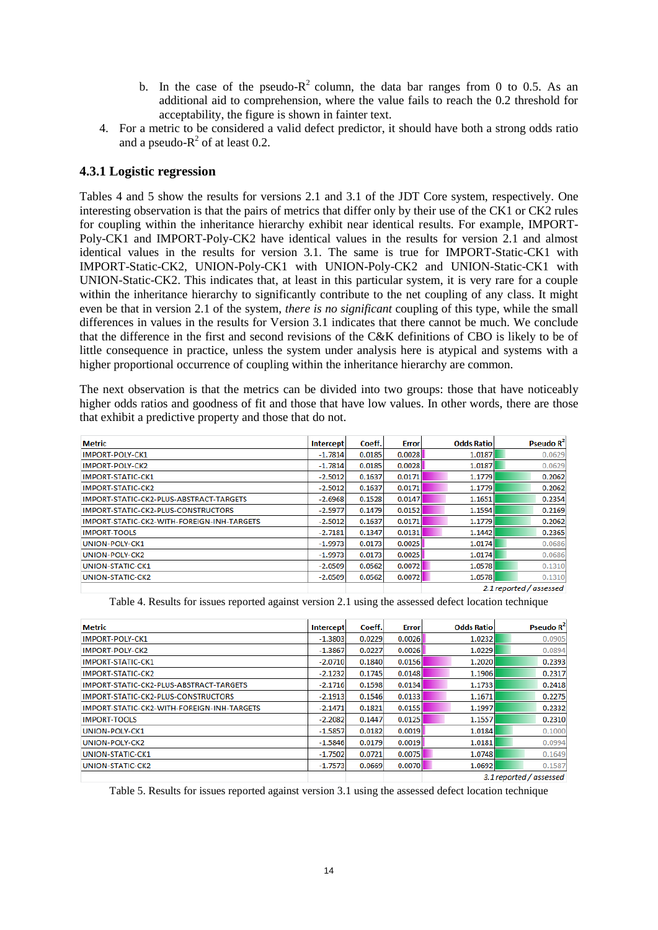- b. In the case of the pseudo- $R^2$  column, the data bar ranges from 0 to 0.5. As an additional aid to comprehension, where the value fails to reach the 0.2 threshold for acceptability, the figure is shown in fainter text.
- 4. For a metric to be considered a valid defect predictor, it should have both a strong odds ratio and a pseudo- $R^2$  of at least 0.2.

#### **4.3.1 Logistic regression**

Tables 4 and 5 show the results for versions 2.1 and 3.1 of the JDT Core system, respectively. One interesting observation is that the pairs of metrics that differ only by their use of the CK1 or CK2 rules for coupling within the inheritance hierarchy exhibit near identical results. For example, IMPORT-Poly-CK1 and IMPORT-Poly-CK2 have identical values in the results for version 2.1 and almost identical values in the results for version 3.1. The same is true for IMPORT-Static-CK1 with IMPORT-Static-CK2, UNION-Poly-CK1 with UNION-Poly-CK2 and UNION-Static-CK1 with UNION-Static-CK2. This indicates that, at least in this particular system, it is very rare for a couple within the inheritance hierarchy to significantly contribute to the net coupling of any class. It might even be that in version 2.1 of the system, *there is no significant* coupling of this type, while the small differences in values in the results for Version 3.1 indicates that there cannot be much. We conclude that the difference in the first and second revisions of the C&K definitions of CBO is likely to be of little consequence in practice, unless the system under analysis here is atypical and systems with a higher proportional occurrence of coupling within the inheritance hierarchy are common.

The next observation is that the metrics can be divided into two groups: those that have noticeably higher odds ratios and goodness of fit and those that have low values. In other words, there are those that exhibit a predictive property and those that do not.

| <b>Metric</b>                              | <b>Intercept</b> | Coeff. | <b>Error</b> | <b>Odds Ratio</b> | Pseudo $R^2$            |
|--------------------------------------------|------------------|--------|--------------|-------------------|-------------------------|
| <b>IMPORT-POLY-CK1</b>                     | $-1.7814$        | 0.0185 | 0.0028       | 1.0187            | 0.0629                  |
| <b>IMPORT-POLY-CK2</b>                     | $-1.7814$        | 0.0185 | 0.0028       | 1.0187            | 0.0629                  |
| IMPORT-STATIC-CK1                          | $-2.5012$        | 0.1637 | 0.0171       | 1.1779            | 0.2062                  |
| <b>IMPORT-STATIC-CK2</b>                   | $-2.5012$        | 0.1637 | 0.0171       | 1.1779            | 0.2062                  |
| IMPORT-STATIC-CK2-PLUS-ABSTRACT-TARGETS    | $-2.6968$        | 0.1528 | 0.0147       | 1.1651            | 0.2354                  |
| <b>IMPORT-STATIC-CK2-PLUS-CONSTRUCTORS</b> | $-2.5977$        | 0.1479 | 0.0152       | 1.1594            | 0.2169                  |
| IMPORT-STATIC-CK2-WITH-FOREIGN-INH-TARGETS | $-2.5012$        | 0.1637 | 0.0171       | 1.1779            | 0.2062                  |
| <b>IMPORT-TOOLS</b>                        | $-2.7181$        | 0.1347 | 0.0131       | 1.1442            | 0.2365                  |
| <b>UNION-POLY-CK1</b>                      | $-1.9973$        | 0.0173 | 0.0025       | 1.0174            | 0.0686                  |
| <b>UNION-POLY-CK2</b>                      | $-1.9973$        | 0.0173 | 0.0025       | 1.0174            | 0.0686                  |
| <b>UNION-STATIC-CK1</b>                    | $-2.0509$        | 0.0562 | 0.0072       | 1.0578            | 0.1310                  |
| UNION-STATIC-CK2                           | $-2.0509$        | 0.0562 | 0.0072       | 1.0578            | 0.1310                  |
|                                            |                  |        |              |                   | 2.1 reported / assessed |

Table 4. Results for issues reported against version 2.1 using the assessed defect location technique

| <b>Metric</b>                              | <b>Intercept</b> | Coeff. | <b>Error</b> | <b>Odds Ratio</b> | Pseudo $R^2$            |
|--------------------------------------------|------------------|--------|--------------|-------------------|-------------------------|
| <b>IMPORT-POLY-CK1</b>                     | $-1.3803$        | 0.0229 | 0.0026       | 1.0232            | 0.0905                  |
| <b>IMPORT-POLY-CK2</b>                     | $-1.3867$        | 0.0227 | 0.0026       | 1.0229            | 0.0894                  |
| <b>IMPORT-STATIC-CK1</b>                   | $-2.0710$        | 0.1840 | 0.0156       | 1.2020            | 0.2393                  |
| <b>IMPORT-STATIC-CK2</b>                   | $-2.1232$        | 0.1745 | 0.0148       | 1.1906            | 0.2317                  |
| IMPORT-STATIC-CK2-PLUS-ABSTRACT-TARGETS    | $-2.1716$        | 0.1598 | 0.0134       | 1.1733            | 0.2418                  |
| <b>IMPORT-STATIC-CK2-PLUS-CONSTRUCTORS</b> | $-2.1913$        | 0.1546 | 0.0133       | 1.1671            | 0.2275                  |
| IMPORT-STATIC-CK2-WITH-FOREIGN-INH-TARGETS | $-2.1471$        | 0.1821 | 0.0155       | 1.1997            | 0.2332                  |
| <b>IMPORT-TOOLS</b>                        | $-2.2082$        | 0.1447 | 0.0125       | 1.1557            | 0.2310                  |
| <b>UNION-POLY-CK1</b>                      | $-1.5857$        | 0.0182 | 0.0019       | 1.0184            | 0.1000                  |
| <b>UNION-POLY-CK2</b>                      | $-1.5846$        | 0.0179 | 0.0019       | 1.0181            | 0.0994                  |
| <b>UNION-STATIC-CK1</b>                    | $-1.7502$        | 0.0721 | 0.0075       | 1.0748            | 0.1649                  |
| <b>UNION-STATIC-CK2</b>                    | $-1.7573$        | 0.0669 | 0.0070       | 1.0692            | 0.1587                  |
|                                            |                  |        |              |                   | 3.1 reported / assessed |

Table 5. Results for issues reported against version 3.1 using the assessed defect location technique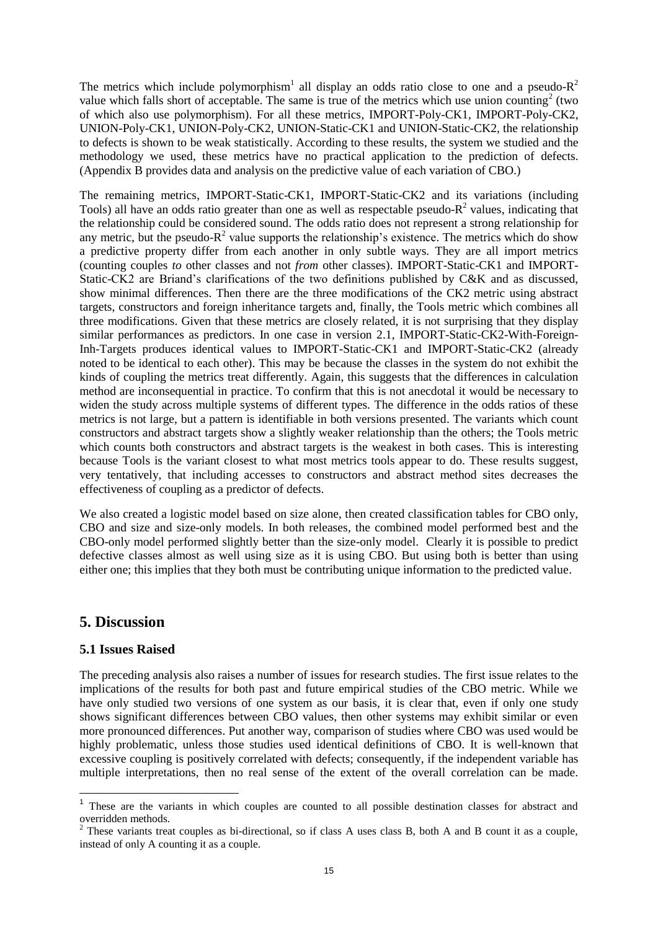The metrics which include polymorphism<sup>1</sup> all display an odds ratio close to one and a pseudo- $R^2$ value which falls short of acceptable. The same is true of the metrics which use union counting<sup>2</sup> (two of which also use polymorphism). For all these metrics, IMPORT-Poly-CK1, IMPORT-Poly-CK2, UNION-Poly-CK1, UNION-Poly-CK2, UNION-Static-CK1 and UNION-Static-CK2, the relationship to defects is shown to be weak statistically. According to these results, the system we studied and the methodology we used, these metrics have no practical application to the prediction of defects. (Appendix B provides data and analysis on the predictive value of each variation of CBO.)

The remaining metrics, IMPORT-Static-CK1, IMPORT-Static-CK2 and its variations (including Tools) all have an odds ratio greater than one as well as respectable pseudo- $R<sup>2</sup>$  values, indicating that the relationship could be considered sound. The odds ratio does not represent a strong relationship for any metric, but the pseudo- $R^2$  value supports the relationship's existence. The metrics which do show a predictive property differ from each another in only subtle ways. They are all import metrics (counting couples *to* other classes and not *from* other classes). IMPORT-Static-CK1 and IMPORT-Static-CK2 are Briand's clarifications of the two definitions published by C&K and as discussed, show minimal differences. Then there are the three modifications of the CK2 metric using abstract targets, constructors and foreign inheritance targets and, finally, the Tools metric which combines all three modifications. Given that these metrics are closely related, it is not surprising that they display similar performances as predictors. In one case in version 2.1, IMPORT-Static-CK2-With-Foreign-Inh-Targets produces identical values to IMPORT-Static-CK1 and IMPORT-Static-CK2 (already noted to be identical to each other). This may be because the classes in the system do not exhibit the kinds of coupling the metrics treat differently. Again, this suggests that the differences in calculation method are inconsequential in practice. To confirm that this is not anecdotal it would be necessary to widen the study across multiple systems of different types. The difference in the odds ratios of these metrics is not large, but a pattern is identifiable in both versions presented. The variants which count constructors and abstract targets show a slightly weaker relationship than the others; the Tools metric which counts both constructors and abstract targets is the weakest in both cases. This is interesting because Tools is the variant closest to what most metrics tools appear to do. These results suggest, very tentatively, that including accesses to constructors and abstract method sites decreases the effectiveness of coupling as a predictor of defects.

We also created a logistic model based on size alone, then created classification tables for CBO only, CBO and size and size-only models. In both releases, the combined model performed best and the CBO-only model performed slightly better than the size-only model. Clearly it is possible to predict defective classes almost as well using size as it is using CBO. But using both is better than using either one; this implies that they both must be contributing unique information to the predicted value.

# **5. Discussion**

#### **5.1 Issues Raised**

The preceding analysis also raises a number of issues for research studies. The first issue relates to the implications of the results for both past and future empirical studies of the CBO metric. While we have only studied two versions of one system as our basis, it is clear that, even if only one study shows significant differences between CBO values, then other systems may exhibit similar or even more pronounced differences. Put another way, comparison of studies where CBO was used would be highly problematic, unless those studies used identical definitions of CBO. It is well-known that excessive coupling is positively correlated with defects; consequently, if the independent variable has multiple interpretations, then no real sense of the extent of the overall correlation can be made.

<sup>&</sup>lt;sup>1</sup> These are the variants in which couples are counted to all possible destination classes for abstract and overridden methods.

 $2$  These variants treat couples as bi-directional, so if class A uses class B, both A and B count it as a couple, instead of only A counting it as a couple.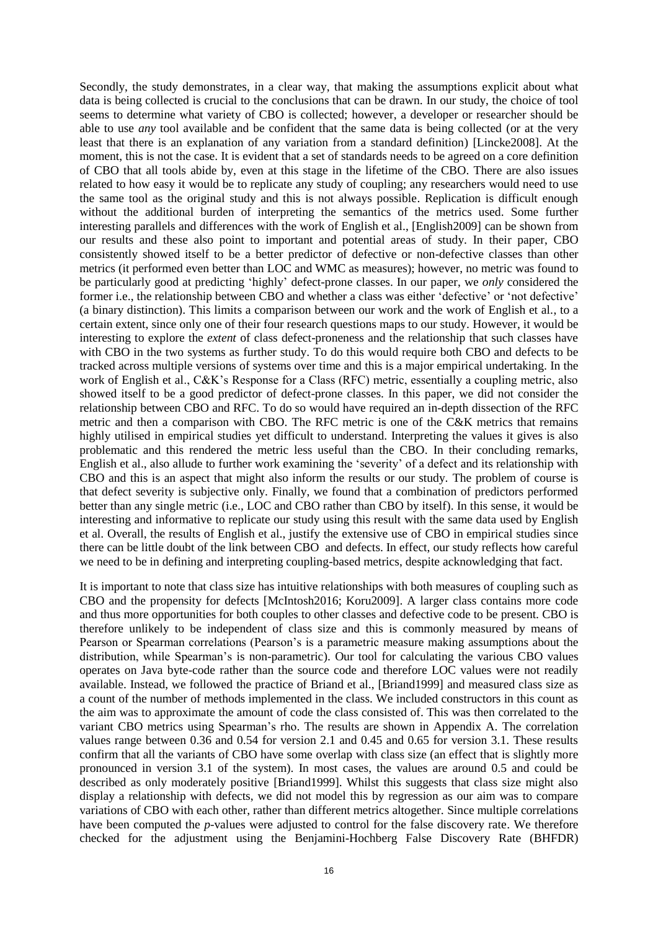Secondly, the study demonstrates, in a clear way, that making the assumptions explicit about what data is being collected is crucial to the conclusions that can be drawn. In our study, the choice of tool seems to determine what variety of CBO is collected; however, a developer or researcher should be able to use *any* tool available and be confident that the same data is being collected (or at the very least that there is an explanation of any variation from a standard definition) [Lincke2008]. At the moment, this is not the case. It is evident that a set of standards needs to be agreed on a core definition of CBO that all tools abide by, even at this stage in the lifetime of the CBO. There are also issues related to how easy it would be to replicate any study of coupling; any researchers would need to use the same tool as the original study and this is not always possible. Replication is difficult enough without the additional burden of interpreting the semantics of the metrics used. Some further interesting parallels and differences with the work of English et al., [English2009] can be shown from our results and these also point to important and potential areas of study. In their paper, CBO consistently showed itself to be a better predictor of defective or non-defective classes than other metrics (it performed even better than LOC and WMC as measures); however, no metric was found to be particularly good at predicting 'highly' defect-prone classes. In our paper, we *only* considered the former i.e., the relationship between CBO and whether a class was either 'defective' or 'not defective' (a binary distinction). This limits a comparison between our work and the work of English et al., to a certain extent, since only one of their four research questions maps to our study. However, it would be interesting to explore the *extent* of class defect-proneness and the relationship that such classes have with CBO in the two systems as further study. To do this would require both CBO and defects to be tracked across multiple versions of systems over time and this is a major empirical undertaking. In the work of English et al., C&K's Response for a Class (RFC) metric, essentially a coupling metric, also showed itself to be a good predictor of defect-prone classes. In this paper, we did not consider the relationship between CBO and RFC. To do so would have required an in-depth dissection of the RFC metric and then a comparison with CBO. The RFC metric is one of the C&K metrics that remains highly utilised in empirical studies yet difficult to understand. Interpreting the values it gives is also problematic and this rendered the metric less useful than the CBO. In their concluding remarks, English et al., also allude to further work examining the 'severity' of a defect and its relationship with CBO and this is an aspect that might also inform the results or our study. The problem of course is that defect severity is subjective only. Finally, we found that a combination of predictors performed better than any single metric (i.e., LOC and CBO rather than CBO by itself). In this sense, it would be interesting and informative to replicate our study using this result with the same data used by English et al. Overall, the results of English et al., justify the extensive use of CBO in empirical studies since there can be little doubt of the link between CBO and defects. In effect, our study reflects how careful we need to be in defining and interpreting coupling-based metrics, despite acknowledging that fact.

It is important to note that class size has intuitive relationships with both measures of coupling such as CBO and the propensity for defects [McIntosh2016; Koru2009]. A larger class contains more code and thus more opportunities for both couples to other classes and defective code to be present. CBO is therefore unlikely to be independent of class size and this is commonly measured by means of Pearson or Spearman correlations (Pearson's is a parametric measure making assumptions about the distribution, while Spearman's is non-parametric). Our tool for calculating the various CBO values operates on Java byte-code rather than the source code and therefore LOC values were not readily available. Instead, we followed the practice of Briand et al., [Briand1999] and measured class size as a count of the number of methods implemented in the class. We included constructors in this count as the aim was to approximate the amount of code the class consisted of. This was then correlated to the variant CBO metrics using Spearman's rho. The results are shown in Appendix A. The correlation values range between 0.36 and 0.54 for version 2.1 and 0.45 and 0.65 for version 3.1. These results confirm that all the variants of CBO have some overlap with class size (an effect that is slightly more pronounced in version 3.1 of the system). In most cases, the values are around 0.5 and could be described as only moderately positive [Briand1999]. Whilst this suggests that class size might also display a relationship with defects, we did not model this by regression as our aim was to compare variations of CBO with each other, rather than different metrics altogether. Since multiple correlations have been computed the *p*-values were adjusted to control for the false discovery rate. We therefore checked for the adjustment using the Benjamini-Hochberg False Discovery Rate (BHFDR)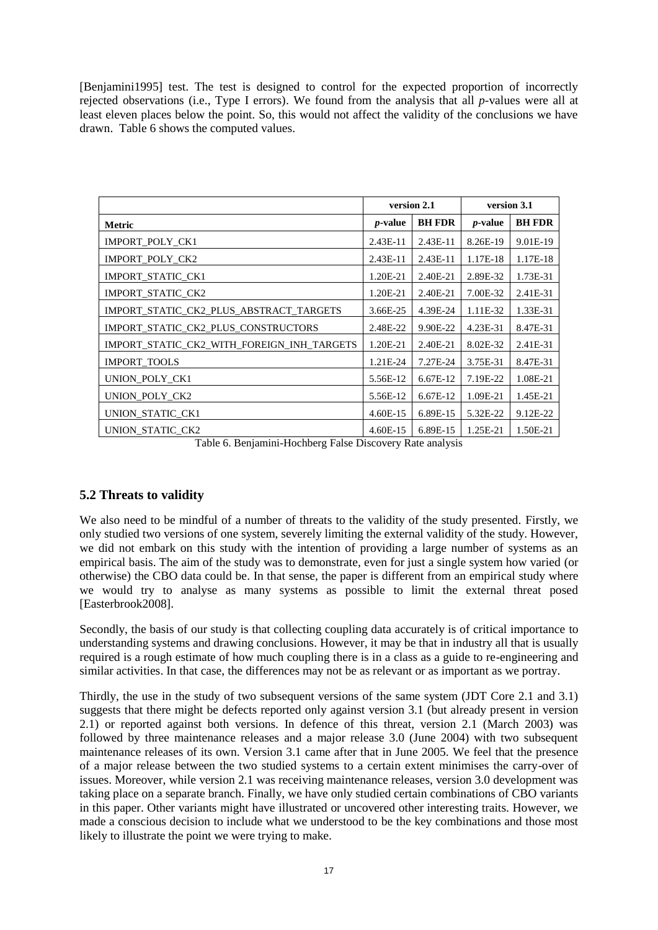[Benjamini1995] test. The test is designed to control for the expected proportion of incorrectly rejected observations (i.e., Type I errors). We found from the analysis that all *p-*values were all at least eleven places below the point. So, this would not affect the validity of the conclusions we have drawn. Table 6 shows the computed values.

|                                            | version 2.1     |               |                 | version 3.1   |
|--------------------------------------------|-----------------|---------------|-----------------|---------------|
| Metric                                     | <i>p</i> -value | <b>BH FDR</b> | <i>p</i> -value | <b>BH FDR</b> |
| IMPORT_POLY_CK1                            | 2.43E-11        | 2.43E-11      | 8.26E-19        | 9.01E-19      |
| IMPORT_POLY_CK2                            | 2.43E-11        | 2.43E-11      | 1.17E-18        | 1.17E-18      |
| <b>IMPORT STATIC CK1</b>                   | 1.20E-21        | 2.40E-21      | 2.89E-32        | 1.73E-31      |
| IMPORT_STATIC_CK2                          | 1.20E-21        | 2.40E-21      | 7.00E-32        | 2.41E-31      |
| IMPORT STATIC CK2 PLUS ABSTRACT TARGETS    | 3.66E-25        | 4.39E-24      | 1.11E-32        | 1.33E-31      |
| IMPORT STATIC CK2 PLUS CONSTRUCTORS        | 2.48E-22        | 9.90E-22      | 4.23E-31        | 8.47E-31      |
| IMPORT STATIC CK2 WITH FOREIGN INH TARGETS | 1.20E-21        | 2.40E-21      | 8.02E-32        | 2.41E-31      |
| <b>IMPORT TOOLS</b>                        | 1.21E-24        | 7.27E-24      | 3.75E-31        | 8.47E-31      |
| UNION POLY CK1                             | 5.56E-12        | 6.67E-12      | 7.19E-22        | 1.08E-21      |
| UNION POLY CK2                             | 5.56E-12        | 6.67E-12      | 1.09E-21        | 1.45E-21      |
| UNION STATIC CK1                           | 4.60E-15        | 6.89E-15      | 5.32E-22        | 9.12E-22      |
| UNION STATIC CK2                           | $4.60E-15$      | 6.89E-15      | 1.25E-21        | 1.50E-21      |

Table 6. Benjamini-Hochberg False Discovery Rate analysis

# **5.2 Threats to validity**

We also need to be mindful of a number of threats to the validity of the study presented. Firstly, we only studied two versions of one system, severely limiting the external validity of the study. However, we did not embark on this study with the intention of providing a large number of systems as an empirical basis. The aim of the study was to demonstrate, even for just a single system how varied (or otherwise) the CBO data could be. In that sense, the paper is different from an empirical study where we would try to analyse as many systems as possible to limit the external threat posed [Easterbrook2008].

Secondly, the basis of our study is that collecting coupling data accurately is of critical importance to understanding systems and drawing conclusions. However, it may be that in industry all that is usually required is a rough estimate of how much coupling there is in a class as a guide to re-engineering and similar activities. In that case, the differences may not be as relevant or as important as we portray.

Thirdly, the use in the study of two subsequent versions of the same system (JDT Core 2.1 and 3.1) suggests that there might be defects reported only against version 3.1 (but already present in version 2.1) or reported against both versions. In defence of this threat, version 2.1 (March 2003) was followed by three maintenance releases and a major release 3.0 (June 2004) with two subsequent maintenance releases of its own. Version 3.1 came after that in June 2005. We feel that the presence of a major release between the two studied systems to a certain extent minimises the carry-over of issues. Moreover, while version 2.1 was receiving maintenance releases, version 3.0 development was taking place on a separate branch. Finally, we have only studied certain combinations of CBO variants in this paper. Other variants might have illustrated or uncovered other interesting traits. However, we made a conscious decision to include what we understood to be the key combinations and those most likely to illustrate the point we were trying to make.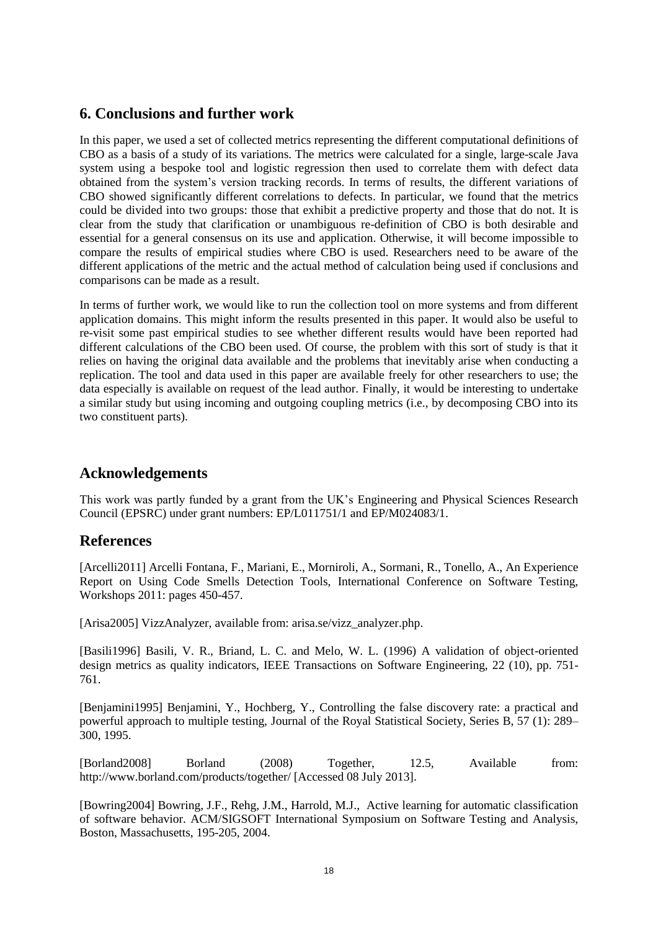# **6. Conclusions and further work**

In this paper, we used a set of collected metrics representing the different computational definitions of CBO as a basis of a study of its variations. The metrics were calculated for a single, large-scale Java system using a bespoke tool and logistic regression then used to correlate them with defect data obtained from the system's version tracking records. In terms of results, the different variations of CBO showed significantly different correlations to defects. In particular, we found that the metrics could be divided into two groups: those that exhibit a predictive property and those that do not. It is clear from the study that clarification or unambiguous re-definition of CBO is both desirable and essential for a general consensus on its use and application. Otherwise, it will become impossible to compare the results of empirical studies where CBO is used. Researchers need to be aware of the different applications of the metric and the actual method of calculation being used if conclusions and comparisons can be made as a result.

In terms of further work, we would like to run the collection tool on more systems and from different application domains. This might inform the results presented in this paper. It would also be useful to re-visit some past empirical studies to see whether different results would have been reported had different calculations of the CBO been used. Of course, the problem with this sort of study is that it relies on having the original data available and the problems that inevitably arise when conducting a replication. The tool and data used in this paper are available freely for other researchers to use; the data especially is available on request of the lead author. Finally, it would be interesting to undertake a similar study but using incoming and outgoing coupling metrics (i.e., by decomposing CBO into its two constituent parts).

# **Acknowledgements**

This work was partly funded by a grant from the UK's Engineering and Physical Sciences Research Council (EPSRC) under grant numbers: EP/L011751/1 and EP/M024083/1.

# **References**

[Arcelli2011] Arcelli Fontana, F., Mariani, E., Morniroli, A., Sormani, R., Tonello, A., An Experience Report on Using Code Smells Detection Tools, International Conference on Software Testing, Workshops 2011: pages 450-457.

[Arisa2005] VizzAnalyzer, available from: [arisa.se/vizz\\_analyzer.php.](http://www.arisa.se/vizz_analyzer.php)

[Basili1996] Basili, V. R., Briand, L. C. and Melo, W. L. (1996) A validation of object-oriented design metrics as quality indicators, IEEE Transactions on Software Engineering, 22 (10), pp. 751- 761.

[Benjamini1995] Benjamini, Y., Hochberg, Y., Controlling the false discovery rate: a practical and powerful approach to multiple testing, Journal of the Royal Statistical Society, Series B, 57 (1): 289– 300, 1995.

[Borland2008] Borland (2008) Together, 12.5, Available from: http://www.borland.com/products/together/ [Accessed 08 July 2013].

[Bowring2004] Bowring, J.F., Rehg, J.M., Harrold, M.J., Active learning for automatic classification of software behavior. ACM/SIGSOFT International Symposium on Software Testing and Analysis, Boston, Massachusetts, 195-205, 2004.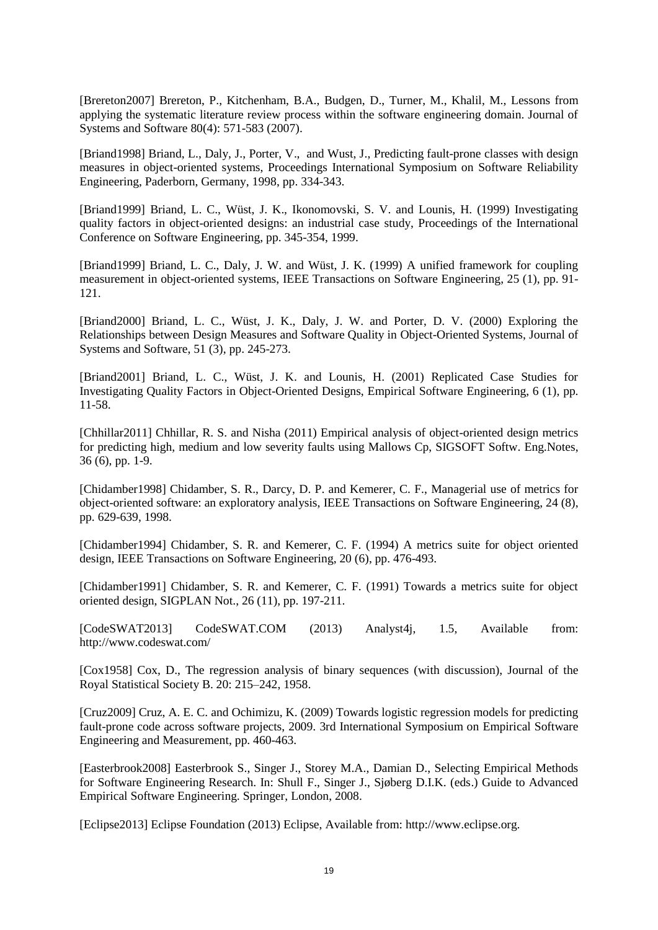[Brereton2007] Brereton, P., Kitchenham, B.A., Budgen, D., Turner, M., Khalil, M., Lessons from applying the systematic literature review process within the software engineering domain. Journal of Systems and Software 80(4): 571-583 (2007).

[Briand1998] Briand, L., Daly, J., Porter, V., and Wust, J., Predicting fault-prone classes with design measures in object-oriented systems, Proceedings International Symposium on Software Reliability Engineering, Paderborn, Germany, 1998, pp. 334-343.

[Briand1999] Briand, L. C., Wüst, J. K., Ikonomovski, S. V. and Lounis, H. (1999) Investigating quality factors in object-oriented designs: an industrial case study, Proceedings of the International Conference on Software Engineering, pp. 345-354, 1999.

[Briand1999] Briand, L. C., Daly, J. W. and Wüst, J. K. (1999) A unified framework for coupling measurement in object-oriented systems, IEEE Transactions on Software Engineering, 25 (1), pp. 91- 121.

[Briand2000] Briand, L. C., Wüst, J. K., Daly, J. W. and Porter, D. V. (2000) Exploring the Relationships between Design Measures and Software Quality in Object-Oriented Systems, Journal of Systems and Software, 51 (3), pp. 245-273.

[Briand2001] Briand, L. C., Wüst, J. K. and Lounis, H. (2001) Replicated Case Studies for Investigating Quality Factors in Object-Oriented Designs, Empirical Software Engineering, 6 (1), pp. 11-58.

[Chhillar2011] Chhillar, R. S. and Nisha (2011) Empirical analysis of object-oriented design metrics for predicting high, medium and low severity faults using Mallows Cp, SIGSOFT Softw. Eng.Notes, 36 (6), pp. 1-9.

[Chidamber1998] Chidamber, S. R., Darcy, D. P. and Kemerer, C. F., Managerial use of metrics for object-oriented software: an exploratory analysis, IEEE Transactions on Software Engineering, 24 (8), pp. 629-639, 1998.

[Chidamber1994] Chidamber, S. R. and Kemerer, C. F. (1994) A metrics suite for object oriented design, IEEE Transactions on Software Engineering, 20 (6), pp. 476-493.

[Chidamber1991] Chidamber, S. R. and Kemerer, C. F. (1991) Towards a metrics suite for object oriented design, SIGPLAN Not., 26 (11), pp. 197-211.

[CodeSWAT2013] CodeSWAT.COM (2013) Analyst4j, 1.5, Available from: <http://www.codeswat.com/>

[Cox1958] Cox, D., The regression analysis of binary sequences (with discussion), Journal of the Royal Statistical Society B. 20: 215–242, 1958.

[Cruz2009] Cruz, A. E. C. and Ochimizu, K. (2009) Towards logistic regression models for predicting fault-prone code across software projects, 2009. 3rd International Symposium on Empirical Software Engineering and Measurement, pp. 460-463.

[Easterbrook2008] Easterbrook S., Singer J., Storey M.A., Damian D., Selecting Empirical Methods for Software Engineering Research. In: Shull F., Singer J., Sjøberg D.I.K. (eds.) Guide to Advanced Empirical Software Engineering. Springer, London, 2008.

[Eclipse2013] Eclipse Foundation (2013) Eclipse, Available from: http://www.eclipse.org.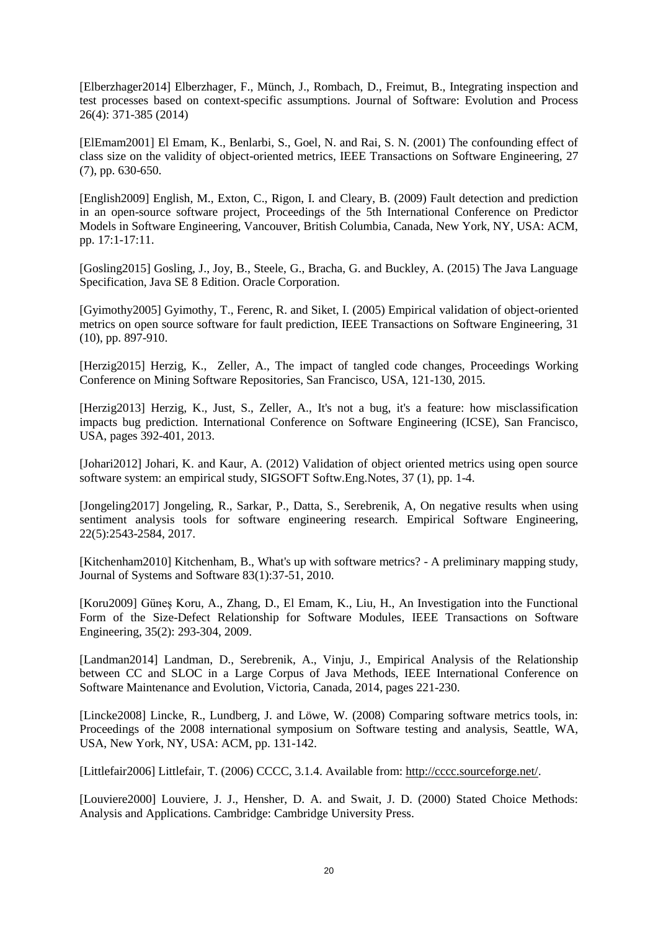[Elberzhager2014] Elberzhager, F., Münch, J., Rombach, D., Freimut, B., Integrating inspection and test processes based on context-specific assumptions. Journal of Software: Evolution and Process 26(4): 371-385 (2014)

[ElEmam2001] El Emam, K., Benlarbi, S., Goel, N. and Rai, S. N. (2001) The confounding effect of class size on the validity of object-oriented metrics, IEEE Transactions on Software Engineering, 27 (7), pp. 630-650.

[English2009] English, M., Exton, C., Rigon, I. and Cleary, B. (2009) Fault detection and prediction in an open-source software project, Proceedings of the 5th International Conference on Predictor Models in Software Engineering, Vancouver, British Columbia, Canada, New York, NY, USA: ACM, pp. 17:1-17:11.

[Gosling2015] Gosling, J., Joy, B., Steele, G., Bracha, G. and Buckley, A. (2015) The Java Language Specification, Java SE 8 Edition. Oracle Corporation.

[Gyimothy2005] Gyimothy, T., Ferenc, R. and Siket, I. (2005) Empirical validation of object-oriented metrics on open source software for fault prediction, IEEE Transactions on Software Engineering, 31 (10), pp. 897-910.

[Herzig2015] Herzig, K., Zeller, A., The impact of tangled code changes, Proceedings Working Conference on Mining Software Repositories, San Francisco, USA, 121-130, 2015.

[Herzig2013] Herzig, K., Just, S., Zeller, A., It's not a bug, it's a feature: how misclassification impacts bug prediction. International Conference on Software Engineering (ICSE), San Francisco, USA, pages 392-401, 2013.

[Johari2012] Johari, K. and Kaur, A. (2012) Validation of object oriented metrics using open source software system: an empirical study, SIGSOFT Softw.Eng.Notes, 37 (1), pp. 1-4.

[Jongeling2017] Jongeling, R., Sarkar, P., Datta, S., Serebrenik, A, On negative results when using sentiment analysis tools for software engineering research. Empirical Software Engineering, 22(5):2543-2584, 2017.

[Kitchenham2010] Kitchenham, B., What's up with software metrics? - A preliminary mapping study, Journal of Systems and Software 83(1):37-51, 2010.

[Koru2009] Güneş Koru, A., Zhang, D., El Emam, K., Liu, H., An Investigation into the Functional Form of the Size-Defect Relationship for Software Modules, IEEE Transactions on Software Engineering, 35(2): 293-304, 2009.

[Landman2014] Landman, D., Serebrenik, A., Vinju, J., Empirical Analysis of the Relationship between CC and SLOC in a Large Corpus of Java Methods, IEEE International Conference on Software Maintenance and Evolution, Victoria, Canada, 2014, pages 221-230.

[Lincke2008] Lincke, R., Lundberg, J. and Löwe, W. (2008) Comparing software metrics tools, in: Proceedings of the 2008 international symposium on Software testing and analysis, Seattle, WA, USA, New York, NY, USA: ACM, pp. 131-142.

[Littlefair2006] Littlefair, T. (2006) CCCC, 3.1.4. Available from: [http://cccc.sourceforge.net/.](http://cccc.sourceforge.net/)

[Louviere2000] Louviere, J. J., Hensher, D. A. and Swait, J. D. (2000) Stated Choice Methods: Analysis and Applications. Cambridge: Cambridge University Press.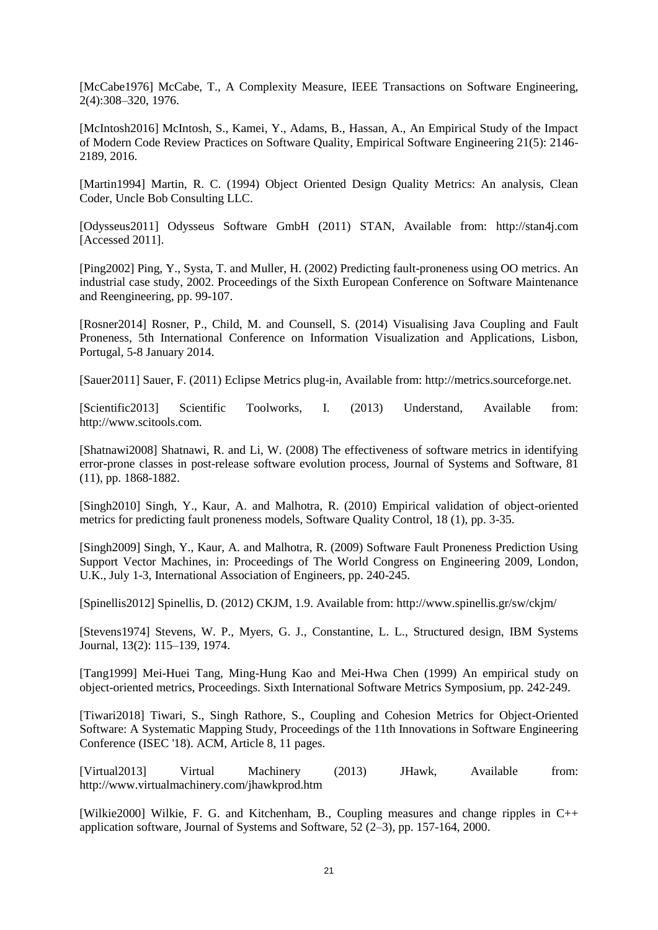[McCabe1976] McCabe, T., A Complexity Measure, IEEE Transactions on Software Engineering, 2(4):308–320, 1976.

[McIntosh2016] McIntosh, S., Kamei, Y., Adams, B., Hassan, A., An Empirical Study of the Impact of Modern Code Review Practices on Software Quality, Empirical Software Engineering 21(5): 2146- 2189, 2016.

[Martin1994] Martin, R. C. (1994) Object Oriented Design Quality Metrics: An analysis, Clean Coder, Uncle Bob Consulting LLC.

[Odysseus2011] Odysseus Software GmbH (2011) STAN, Available from: http://stan4j.com [Accessed 2011].

[Ping2002] Ping, Y., Systa, T. and Muller, H. (2002) Predicting fault-proneness using OO metrics. An industrial case study, 2002. Proceedings of the Sixth European Conference on Software Maintenance and Reengineering, pp. 99-107.

[Rosner2014] Rosner, P., Child, M. and Counsell, S. (2014) Visualising Java Coupling and Fault Proneness, 5th International Conference on Information Visualization and Applications, Lisbon, Portugal, 5-8 January 2014.

[Sauer2011] Sauer, F. (2011) Eclipse Metrics plug-in, Available from: http://metrics.sourceforge.net.

[Scientific2013] Scientific Toolworks, I. (2013) Understand, Available from: http://www.scitools.com.

[Shatnawi2008] Shatnawi, R. and Li, W. (2008) The effectiveness of software metrics in identifying error-prone classes in post-release software evolution process, Journal of Systems and Software, 81 (11), pp. 1868-1882.

[Singh2010] Singh, Y., Kaur, A. and Malhotra, R. (2010) Empirical validation of object-oriented metrics for predicting fault proneness models, Software Quality Control, 18 (1), pp. 3-35.

[Singh2009] Singh, Y., Kaur, A. and Malhotra, R. (2009) Software Fault Proneness Prediction Using Support Vector Machines, in: Proceedings of The World Congress on Engineering 2009, London, U.K., July 1-3, International Association of Engineers, pp. 240-245.

[Spinellis2012] Spinellis, D. (2012) CKJM, 1.9. Available from: http://www.spinellis.gr/sw/ckjm/

[Stevens1974] Stevens, W. P., Myers, G. J., Constantine, L. L., Structured design, IBM Systems Journal, 13(2): 115–139, 1974.

[Tang1999] Mei-Huei Tang, Ming-Hung Kao and Mei-Hwa Chen (1999) An empirical study on object-oriented metrics, Proceedings. Sixth International Software Metrics Symposium, pp. 242-249.

[Tiwari2018] Tiwari, S., Singh Rathore, S., Coupling and Cohesion Metrics for Object-Oriented Software: A Systematic Mapping Study, Proceedings of the 11th Innovations in Software Engineering Conference (ISEC '18). ACM, Article 8, 11 pages.

[Virtual2013] Virtual Machinery (2013) JHawk, Available from: http://www.virtualmachinery.com/jhawkprod.htm

[Wilkie2000] Wilkie, F. G. and Kitchenham, B., Coupling measures and change ripples in C++ application software, Journal of Systems and Software, 52 (2–3), pp. 157-164, 2000.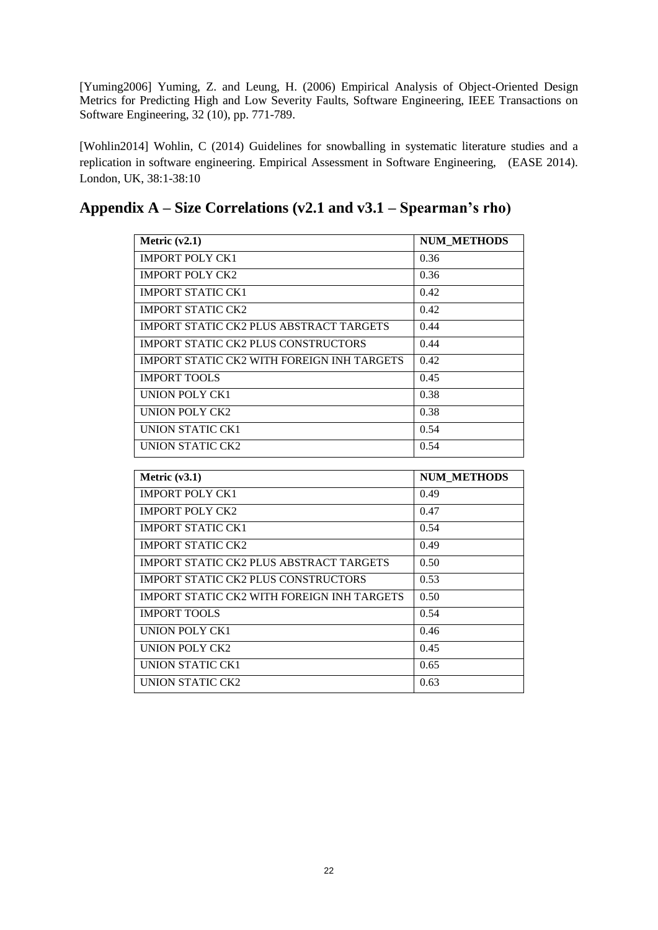[Yuming2006] Yuming, Z. and Leung, H. (2006) Empirical Analysis of Object-Oriented Design Metrics for Predicting High and Low Severity Faults, Software Engineering, IEEE Transactions on Software Engineering, 32 (10), pp. 771-789.

[Wohlin2014] Wohlin, C (2014) Guidelines for snowballing in systematic literature studies and a replication in software engineering. Empirical Assessment in Software Engineering, (EASE 2014). London, UK, 38:1-38:10

|  | Appendix $A - Size$ Correlations (v2.1 and v3.1 – Spearman's rho) |  |  |
|--|-------------------------------------------------------------------|--|--|
|--|-------------------------------------------------------------------|--|--|

| Metric $(v2.1)$                                   | <b>NUM METHODS</b> |
|---------------------------------------------------|--------------------|
| <b>IMPORT POLY CK1</b>                            | 0.36               |
| <b>IMPORT POLY CK2</b>                            | 0.36               |
| <b>IMPORT STATIC CK1</b>                          | 0.42               |
| <b>IMPORT STATIC CK2</b>                          | 0.42               |
| <b>IMPORT STATIC CK2 PLUS ABSTRACT TARGETS</b>    | 0.44               |
| <b>IMPORT STATIC CK2 PLUS CONSTRUCTORS</b>        | 0.44               |
| <b>IMPORT STATIC CK2 WITH FOREIGN INH TARGETS</b> | 0.42               |
| <b>IMPORT TOOLS</b>                               | 0.45               |
| <b>UNION POLY CK1</b>                             | 0.38               |
| <b>UNION POLY CK2</b>                             | 0.38               |
| <b>UNION STATIC CK1</b>                           | 0.54               |
| <b>UNION STATIC CK2</b>                           | 0.54               |
|                                                   |                    |
| Metric $(v3.1)$                                   | <b>NUM METHODS</b> |
| <b>IMPORT POLY CK1</b>                            | 0.49               |
| <b>IMPORT POLY CK2</b>                            | 0.47               |
| <b>IMPORT STATIC CK1</b>                          | 0.54               |
| <b>IMPORT STATIC CK2</b>                          | 0.49               |
| <b>IMPORT STATIC CK2 PLUS ABSTRACT TARGETS</b>    | 0.50               |
| <b>IMPORT STATIC CK2 PLUS CONSTRUCTORS</b>        | 0.53               |
| <b>IMPORT STATIC CK2 WITH FOREIGN INH TARGETS</b> | 0.50               |

IMPORT TOOLS 0.54 UNION POLY CK1 0.46 UNION POLY CK2 0.45 UNION STATIC CK1 0.65 UNION STATIC CK2 0.63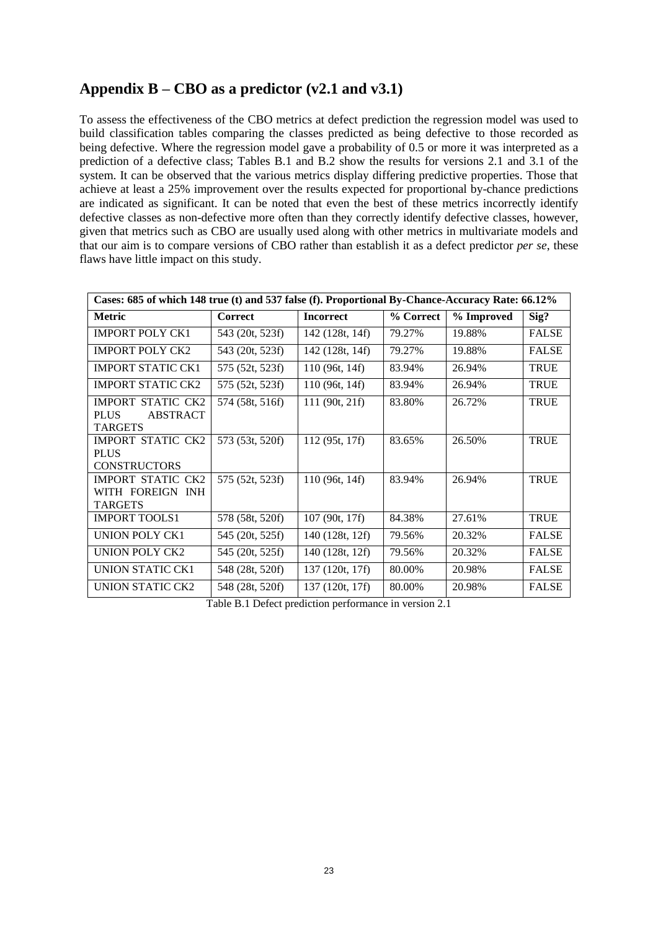# Appendix  $B - CBO$  as a predictor  $(v2.1$  and  $v3.1)$

To assess the effectiveness of the CBO metrics at defect prediction the regression model was used to build classification tables comparing the classes predicted as being defective to those recorded as being defective. Where the regression model gave a probability of 0.5 or more it was interpreted as a prediction of a defective class; Tables B.1 and B.2 show the results for versions 2.1 and 3.1 of the system. It can be observed that the various metrics display differing predictive properties. Those that achieve at least a 25% improvement over the results expected for proportional by-chance predictions are indicated as significant. It can be noted that even the best of these metrics incorrectly identify defective classes as non-defective more often than they correctly identify defective classes, however, given that metrics such as CBO are usually used along with other metrics in multivariate models and that our aim is to compare versions of CBO rather than establish it as a defect predictor *per se*, these flaws have little impact on this study.

| Cases: 685 of which 148 true (t) and 537 false (f). Proportional By-Chance-Accuracy Rate: 66.12% |                 |                  |           |            |              |  |  |
|--------------------------------------------------------------------------------------------------|-----------------|------------------|-----------|------------|--------------|--|--|
| <b>Metric</b>                                                                                    | <b>Correct</b>  | <b>Incorrect</b> | % Correct | % Improved | Sig?         |  |  |
| <b>IMPORT POLY CK1</b>                                                                           | 543 (20t, 523f) | 142 (128t, 14f)  | 79.27%    | 19.88%     | <b>FALSE</b> |  |  |
| <b>IMPORT POLY CK2</b>                                                                           | 543 (20t, 523f) | 142 (128t, 14f)  | 79.27%    | 19.88%     | <b>FALSE</b> |  |  |
| <b>IMPORT STATIC CK1</b>                                                                         | 575 (52t, 523f) | 110 (96t, 14f)   | 83.94%    | 26.94%     | <b>TRUE</b>  |  |  |
| <b>IMPORT STATIC CK2</b>                                                                         | 575 (52t, 523f) | 110 (96t, 14f)   | 83.94%    | 26.94%     | <b>TRUE</b>  |  |  |
| <b>IMPORT STATIC CK2</b><br><b>ABSTRACT</b><br><b>PLUS</b><br>TARGETS                            | 574 (58t, 516f) | 111(90t, 21f)    | 83.80%    | 26.72%     | <b>TRUE</b>  |  |  |
| <b>IMPORT STATIC CK2</b><br><b>PLUS</b><br><b>CONSTRUCTORS</b>                                   | 573 (53t, 520f) | 112 (95t, 17f)   | 83.65%    | 26.50%     | <b>TRUE</b>  |  |  |
| <b>IMPORT STATIC CK2</b><br>WITH FOREIGN INH<br><b>TARGETS</b>                                   | 575 (52t, 523f) | 110 (96t, 14f)   | 83.94%    | 26.94%     | <b>TRUE</b>  |  |  |
| <b>IMPORT TOOLS1</b>                                                                             | 578 (58t, 520f) | 107(90t, 17f)    | 84.38%    | 27.61%     | <b>TRUE</b>  |  |  |
| UNION POLY CK1                                                                                   | 545 (20t, 525f) | 140 (128t, 12f)  | 79.56%    | 20.32%     | <b>FALSE</b> |  |  |
| UNION POLY CK2                                                                                   | 545 (20t, 525f) | 140 (128t, 12f)  | 79.56%    | 20.32%     | <b>FALSE</b> |  |  |
| UNION STATIC CK1                                                                                 | 548 (28t, 520f) | 137 (120t, 17f)  | 80.00%    | 20.98%     | <b>FALSE</b> |  |  |
| UNION STATIC CK2                                                                                 | 548 (28t, 520f) | 137 (120t, 17f)  | 80.00%    | 20.98%     | <b>FALSE</b> |  |  |

Table B.1 Defect prediction performance in version 2.1